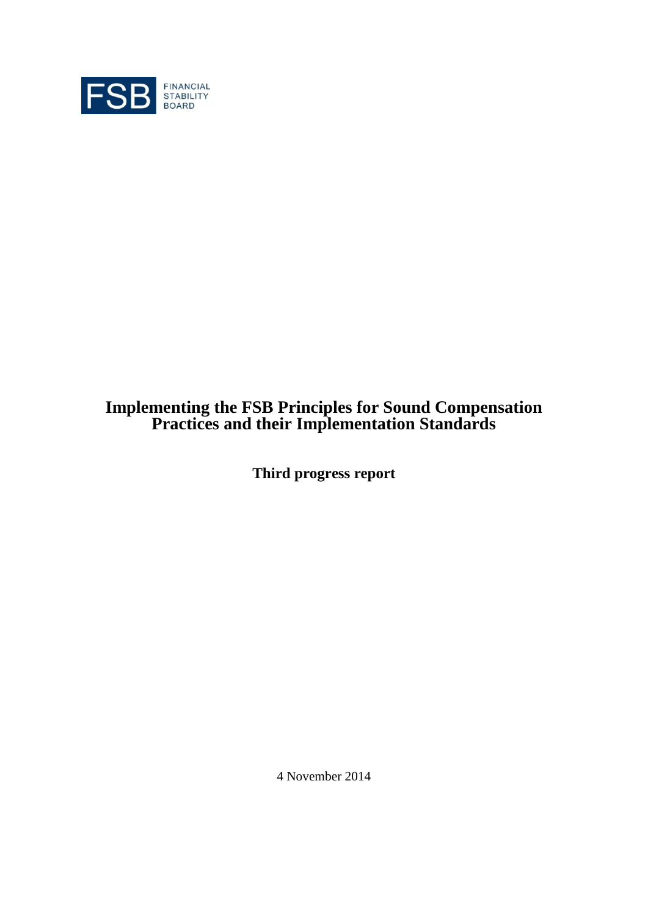

# **Implementing the FSB Principles for Sound Compensation Practices and their Implementation Standards**

**Third progress report**

4 November 2014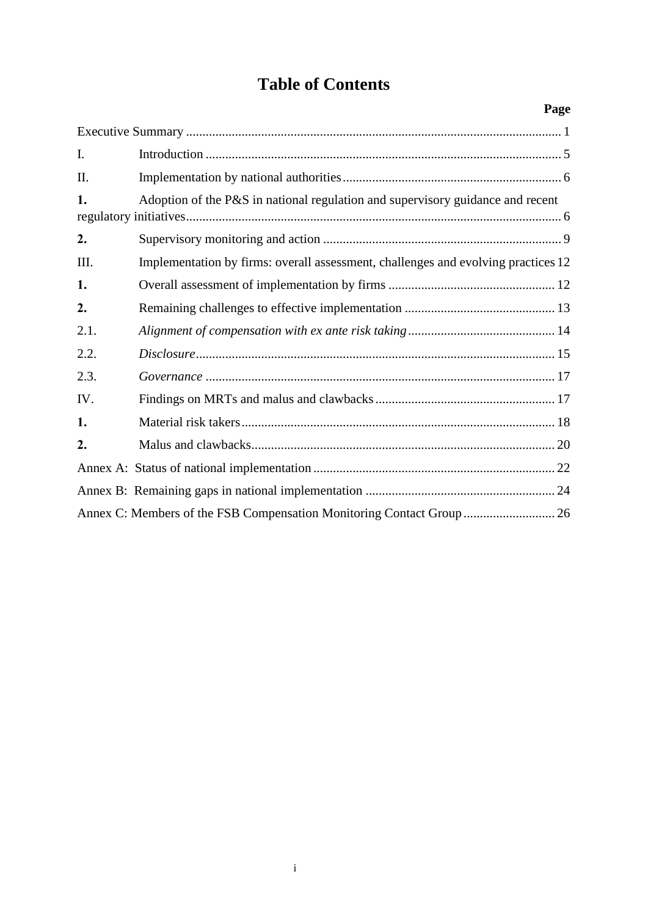# **Table of Contents**

|      |                                                                                   | Page |
|------|-----------------------------------------------------------------------------------|------|
|      |                                                                                   |      |
| I.   |                                                                                   |      |
| II.  |                                                                                   |      |
| 1.   | Adoption of the P&S in national regulation and supervisory guidance and recent    |      |
| 2.   |                                                                                   |      |
| III. | Implementation by firms: overall assessment, challenges and evolving practices 12 |      |
| 1.   |                                                                                   |      |
| 2.   |                                                                                   |      |
| 2.1. |                                                                                   |      |
| 2.2. |                                                                                   |      |
| 2.3. |                                                                                   |      |
| IV.  |                                                                                   |      |
| 1.   |                                                                                   |      |
| 2.   |                                                                                   |      |
|      |                                                                                   |      |
|      |                                                                                   |      |
|      | Annex C: Members of the FSB Compensation Monitoring Contact Group  26             |      |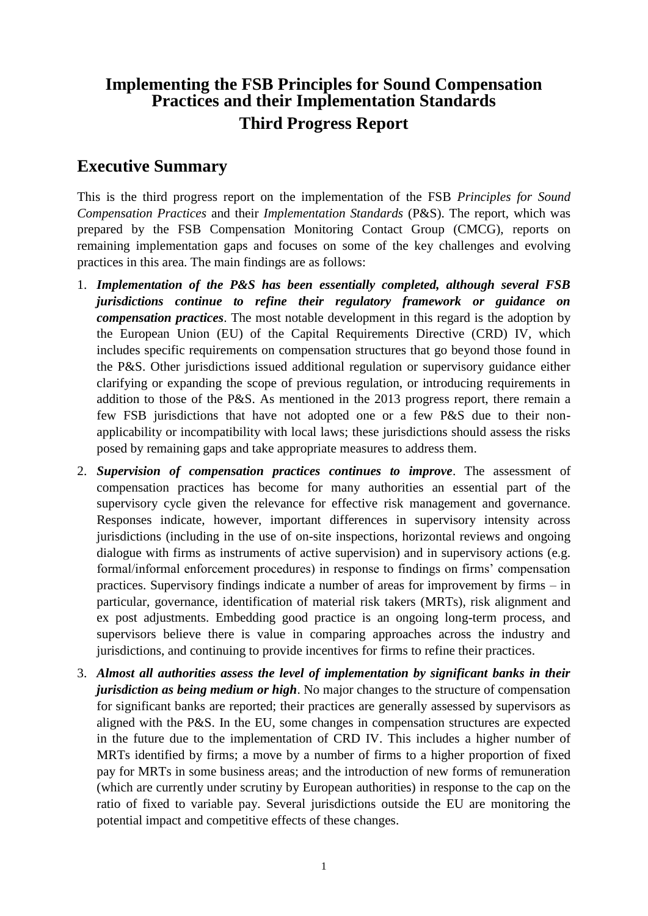# **Implementing the FSB Principles for Sound Compensation Practices and their Implementation Standards Third Progress Report**

# <span id="page-2-0"></span>**Executive Summary**

This is the third progress report on the implementation of the FSB *Principles for Sound Compensation Practices* and their *Implementation Standards* (P&S). The report, which was prepared by the FSB Compensation Monitoring Contact Group (CMCG), reports on remaining implementation gaps and focuses on some of the key challenges and evolving practices in this area. The main findings are as follows:

- 1. *Implementation of the P&S has been essentially completed, although several FSB jurisdictions continue to refine their regulatory framework or guidance on compensation practices*. The most notable development in this regard is the adoption by the European Union (EU) of the Capital Requirements Directive (CRD) IV, which includes specific requirements on compensation structures that go beyond those found in the P&S. Other jurisdictions issued additional regulation or supervisory guidance either clarifying or expanding the scope of previous regulation, or introducing requirements in addition to those of the P&S. As mentioned in the 2013 progress report, there remain a few FSB jurisdictions that have not adopted one or a few P&S due to their nonapplicability or incompatibility with local laws; these jurisdictions should assess the risks posed by remaining gaps and take appropriate measures to address them.
- 2. *Supervision of compensation practices continues to improve*. The assessment of compensation practices has become for many authorities an essential part of the supervisory cycle given the relevance for effective risk management and governance. Responses indicate, however, important differences in supervisory intensity across jurisdictions (including in the use of on-site inspections, horizontal reviews and ongoing dialogue with firms as instruments of active supervision) and in supervisory actions (e.g. formal/informal enforcement procedures) in response to findings on firms' compensation practices. Supervisory findings indicate a number of areas for improvement by firms – in particular, governance, identification of material risk takers (MRTs), risk alignment and ex post adjustments. Embedding good practice is an ongoing long-term process, and supervisors believe there is value in comparing approaches across the industry and jurisdictions, and continuing to provide incentives for firms to refine their practices.
- 3. *Almost all authorities assess the level of implementation by significant banks in their jurisdiction as being medium or high*. No major changes to the structure of compensation for significant banks are reported; their practices are generally assessed by supervisors as aligned with the P&S. In the EU, some changes in compensation structures are expected in the future due to the implementation of CRD IV. This includes a higher number of MRTs identified by firms; a move by a number of firms to a higher proportion of fixed pay for MRTs in some business areas; and the introduction of new forms of remuneration (which are currently under scrutiny by European authorities) in response to the cap on the ratio of fixed to variable pay. Several jurisdictions outside the EU are monitoring the potential impact and competitive effects of these changes.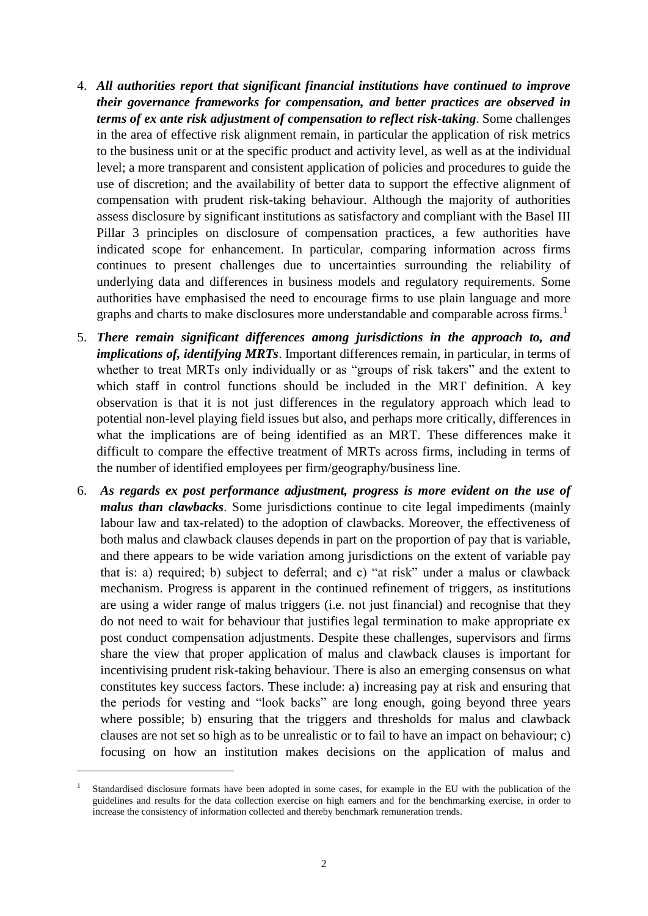- 4. *All authorities report that significant financial institutions have continued to improve their governance frameworks for compensation, and better practices are observed in terms of ex ante risk adjustment of compensation to reflect risk-taking*. Some challenges in the area of effective risk alignment remain, in particular the application of risk metrics to the business unit or at the specific product and activity level, as well as at the individual level; a more transparent and consistent application of policies and procedures to guide the use of discretion; and the availability of better data to support the effective alignment of compensation with prudent risk-taking behaviour. Although the majority of authorities assess disclosure by significant institutions as satisfactory and compliant with the Basel III Pillar 3 principles on disclosure of compensation practices, a few authorities have indicated scope for enhancement. In particular, comparing information across firms continues to present challenges due to uncertainties surrounding the reliability of underlying data and differences in business models and regulatory requirements. Some authorities have emphasised the need to encourage firms to use plain language and more graphs and charts to make disclosures more understandable and comparable across firms.<sup>1</sup>
- 5. *There remain significant differences among jurisdictions in the approach to, and implications of, identifying MRTs*. Important differences remain, in particular, in terms of whether to treat MRTs only individually or as "groups of risk takers" and the extent to which staff in control functions should be included in the MRT definition. A key observation is that it is not just differences in the regulatory approach which lead to potential non-level playing field issues but also, and perhaps more critically, differences in what the implications are of being identified as an MRT. These differences make it difficult to compare the effective treatment of MRTs across firms, including in terms of the number of identified employees per firm/geography/business line.
- 6. *As regards ex post performance adjustment, progress is more evident on the use of malus than clawbacks*. Some jurisdictions continue to cite legal impediments (mainly labour law and tax-related) to the adoption of clawbacks. Moreover, the effectiveness of both malus and clawback clauses depends in part on the proportion of pay that is variable, and there appears to be wide variation among jurisdictions on the extent of variable pay that is: a) required; b) subject to deferral; and c) "at risk" under a malus or clawback mechanism. Progress is apparent in the continued refinement of triggers, as institutions are using a wider range of malus triggers (i.e. not just financial) and recognise that they do not need to wait for behaviour that justifies legal termination to make appropriate ex post conduct compensation adjustments. Despite these challenges, supervisors and firms share the view that proper application of malus and clawback clauses is important for incentivising prudent risk-taking behaviour. There is also an emerging consensus on what constitutes key success factors. These include: a) increasing pay at risk and ensuring that the periods for vesting and "look backs" are long enough, going beyond three years where possible; b) ensuring that the triggers and thresholds for malus and clawback clauses are not set so high as to be unrealistic or to fail to have an impact on behaviour; c) focusing on how an institution makes decisions on the application of malus and

<sup>1</sup> Standardised disclosure formats have been adopted in some cases, for example in the EU with the publication of the guidelines and results for the data collection exercise on high earners and for the benchmarking exercise, in order to increase the consistency of information collected and thereby benchmark remuneration trends.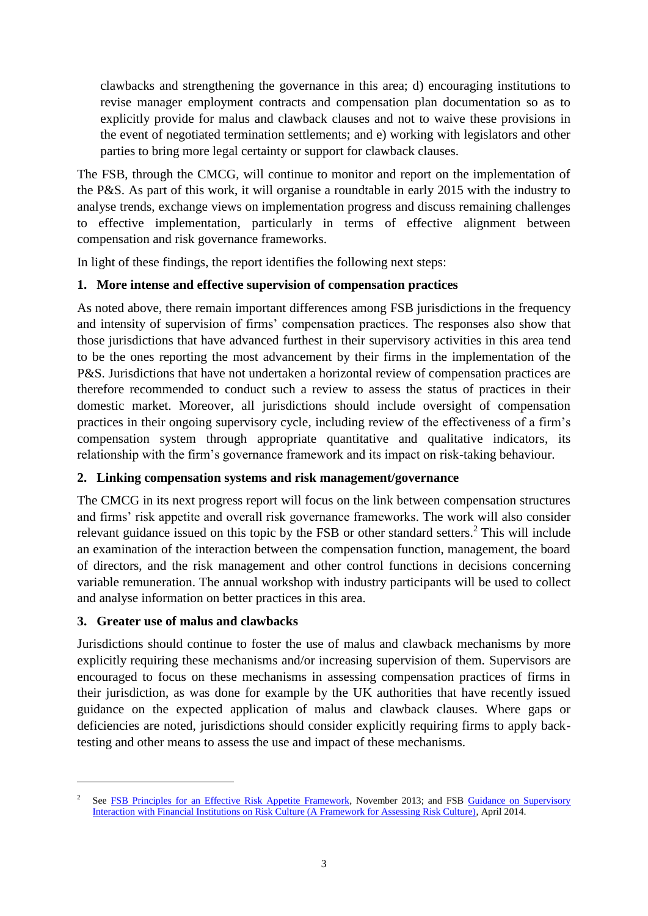clawbacks and strengthening the governance in this area; d) encouraging institutions to revise manager employment contracts and compensation plan documentation so as to explicitly provide for malus and clawback clauses and not to waive these provisions in the event of negotiated termination settlements; and e) working with legislators and other parties to bring more legal certainty or support for clawback clauses.

The FSB, through the CMCG, will continue to monitor and report on the implementation of the P&S. As part of this work, it will organise a roundtable in early 2015 with the industry to analyse trends, exchange views on implementation progress and discuss remaining challenges to effective implementation, particularly in terms of effective alignment between compensation and risk governance frameworks.

In light of these findings, the report identifies the following next steps:

#### **1. More intense and effective supervision of compensation practices**

As noted above, there remain important differences among FSB jurisdictions in the frequency and intensity of supervision of firms' compensation practices. The responses also show that those jurisdictions that have advanced furthest in their supervisory activities in this area tend to be the ones reporting the most advancement by their firms in the implementation of the P&S. Jurisdictions that have not undertaken a horizontal review of compensation practices are therefore recommended to conduct such a review to assess the status of practices in their domestic market. Moreover, all jurisdictions should include oversight of compensation practices in their ongoing supervisory cycle, including review of the effectiveness of a firm's compensation system through appropriate quantitative and qualitative indicators, its relationship with the firm's governance framework and its impact on risk-taking behaviour.

#### **2. Linking compensation systems and risk management/governance**

The CMCG in its next progress report will focus on the link between compensation structures and firms' risk appetite and overall risk governance frameworks. The work will also consider relevant guidance issued on this topic by the FSB or other standard setters.<sup>2</sup> This will include an examination of the interaction between the compensation function, management, the board of directors, and the risk management and other control functions in decisions concerning variable remuneration. The annual workshop with industry participants will be used to collect and analyse information on better practices in this area.

#### **3. Greater use of malus and clawbacks**

 $\overline{a}$ 

Jurisdictions should continue to foster the use of malus and clawback mechanisms by more explicitly requiring these mechanisms and/or increasing supervision of them. Supervisors are encouraged to focus on these mechanisms in assessing compensation practices of firms in their jurisdiction, as was done for example by the UK authorities that have recently issued guidance on the expected application of malus and clawback clauses. Where gaps or deficiencies are noted, jurisdictions should consider explicitly requiring firms to apply backtesting and other means to assess the use and impact of these mechanisms.

<sup>2</sup> See [FSB Principles for an Effective Risk Appetite Framework,](http://www.financialstabilityboard.org/publications/r_131118.htm) November 2013; and FSB Guidance on Supervisory [Interaction with Financial Institutions on Risk Culture \(A Framework for Assessing Risk Culture\),](http://www.financialstabilityboard.org/publications/140407.htm) April 2014.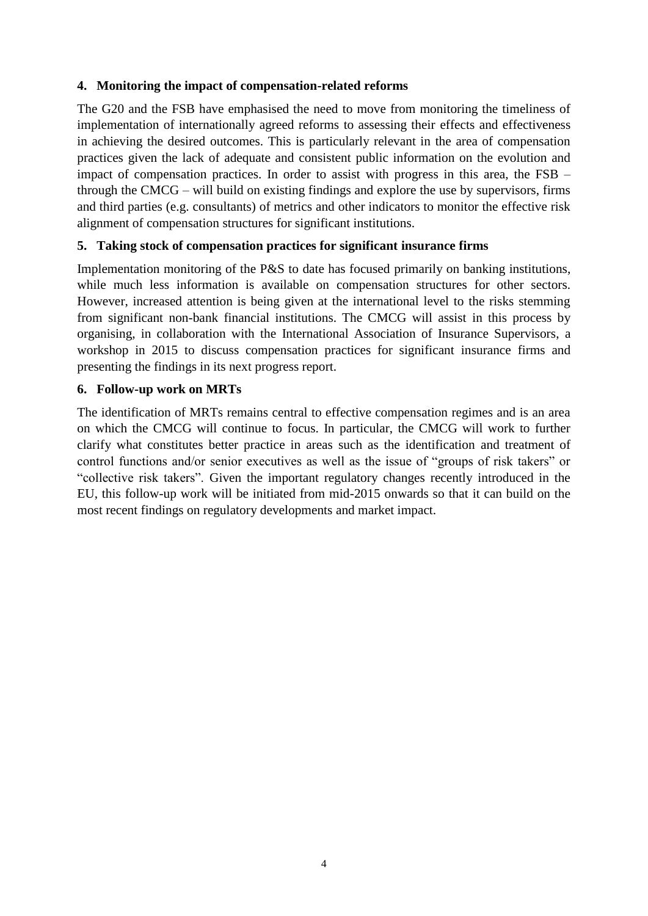#### **4. Monitoring the impact of compensation-related reforms**

The G20 and the FSB have emphasised the need to move from monitoring the timeliness of implementation of internationally agreed reforms to assessing their effects and effectiveness in achieving the desired outcomes. This is particularly relevant in the area of compensation practices given the lack of adequate and consistent public information on the evolution and impact of compensation practices. In order to assist with progress in this area, the FSB – through the CMCG – will build on existing findings and explore the use by supervisors, firms and third parties (e.g. consultants) of metrics and other indicators to monitor the effective risk alignment of compensation structures for significant institutions.

#### **5. Taking stock of compensation practices for significant insurance firms**

Implementation monitoring of the P&S to date has focused primarily on banking institutions, while much less information is available on compensation structures for other sectors. However, increased attention is being given at the international level to the risks stemming from significant non-bank financial institutions. The CMCG will assist in this process by organising, in collaboration with the International Association of Insurance Supervisors, a workshop in 2015 to discuss compensation practices for significant insurance firms and presenting the findings in its next progress report.

#### **6. Follow-up work on MRTs**

The identification of MRTs remains central to effective compensation regimes and is an area on which the CMCG will continue to focus. In particular, the CMCG will work to further clarify what constitutes better practice in areas such as the identification and treatment of control functions and/or senior executives as well as the issue of "groups of risk takers" or "collective risk takers". Given the important regulatory changes recently introduced in the EU, this follow-up work will be initiated from mid-2015 onwards so that it can build on the most recent findings on regulatory developments and market impact.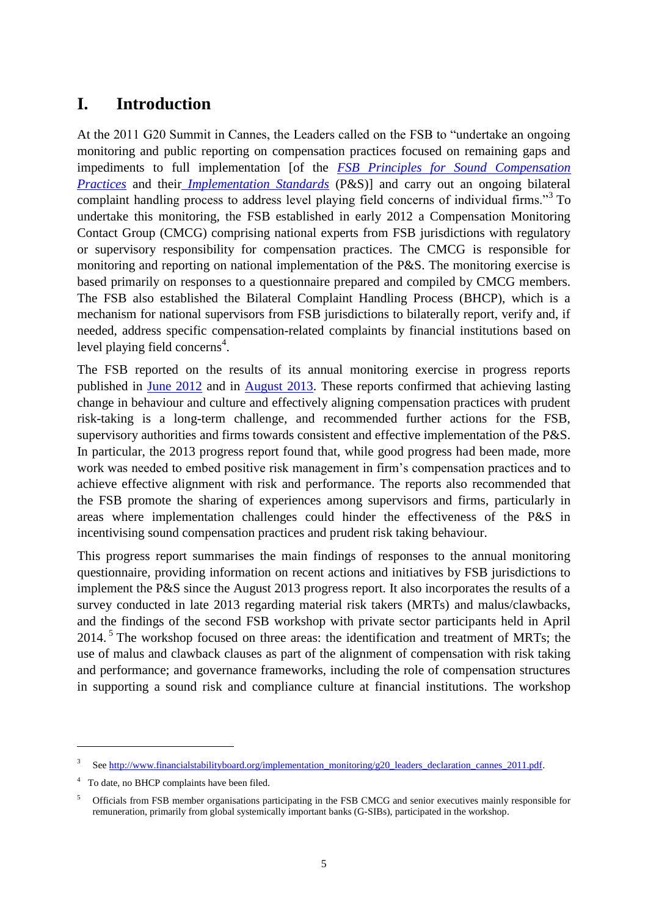# <span id="page-6-0"></span>**I. Introduction**

At the 2011 G20 Summit in Cannes, the Leaders called on the FSB to "undertake an ongoing monitoring and public reporting on compensation practices focused on remaining gaps and impediments to full implementation [of the *FSB [Principles for Sound Compensation](http://www.financialstabilityboard.org/publications/r_0904b.pdf)  [Practices](http://www.financialstabilityboard.org/publications/r_0904b.pdf)* and their *[Implementation Standards](http://www.financialstabilityboard.org/publications/r_090925c.pdf)* (P&S)] and carry out an ongoing bilateral complaint handling process to address level playing field concerns of individual firms."<sup>3</sup> To undertake this monitoring, the FSB established in early 2012 a Compensation Monitoring Contact Group (CMCG) comprising national experts from FSB jurisdictions with regulatory or supervisory responsibility for compensation practices. The CMCG is responsible for monitoring and reporting on national implementation of the P&S. The monitoring exercise is based primarily on responses to a questionnaire prepared and compiled by CMCG members. The FSB also established the Bilateral Complaint Handling Process (BHCP), which is a mechanism for national supervisors from FSB jurisdictions to bilaterally report, verify and, if needed, address specific compensation-related complaints by financial institutions based on level playing field concerns<sup>4</sup>.

The FSB reported on the results of its annual monitoring exercise in progress reports published in [June 2012](http://www.financialstabilityboard.org/publications/r_120613.htm) and in [August 2013.](http://www.financialstabilityboard.org/publications/r_130826.htm) These reports confirmed that achieving lasting change in behaviour and culture and effectively aligning compensation practices with prudent risk-taking is a long-term challenge, and recommended further actions for the FSB, supervisory authorities and firms towards consistent and effective implementation of the P&S. In particular, the 2013 progress report found that, while good progress had been made, more work was needed to embed positive risk management in firm's compensation practices and to achieve effective alignment with risk and performance. The reports also recommended that the FSB promote the sharing of experiences among supervisors and firms, particularly in areas where implementation challenges could hinder the effectiveness of the P&S in incentivising sound compensation practices and prudent risk taking behaviour.

This progress report summarises the main findings of responses to the annual monitoring questionnaire, providing information on recent actions and initiatives by FSB jurisdictions to implement the P&S since the August 2013 progress report. It also incorporates the results of a survey conducted in late 2013 regarding material risk takers (MRTs) and malus/clawbacks, and the findings of the second FSB workshop with private sector participants held in April 2014.<sup>5</sup> The workshop focused on three areas: the identification and treatment of MRTs; the use of malus and clawback clauses as part of the alignment of compensation with risk taking and performance; and governance frameworks, including the role of compensation structures in supporting a sound risk and compliance culture at financial institutions. The workshop

<sup>3</sup> See http://www.financialstabilityboard.org/implementation\_monitoring/g20\_leaders\_declaration\_cannes\_2011.pdf.

<sup>4</sup> To date, no BHCP complaints have been filed.

<sup>5</sup> Officials from FSB member organisations participating in the FSB CMCG and senior executives mainly responsible for remuneration, primarily from global systemically important banks (G-SIBs), participated in the workshop.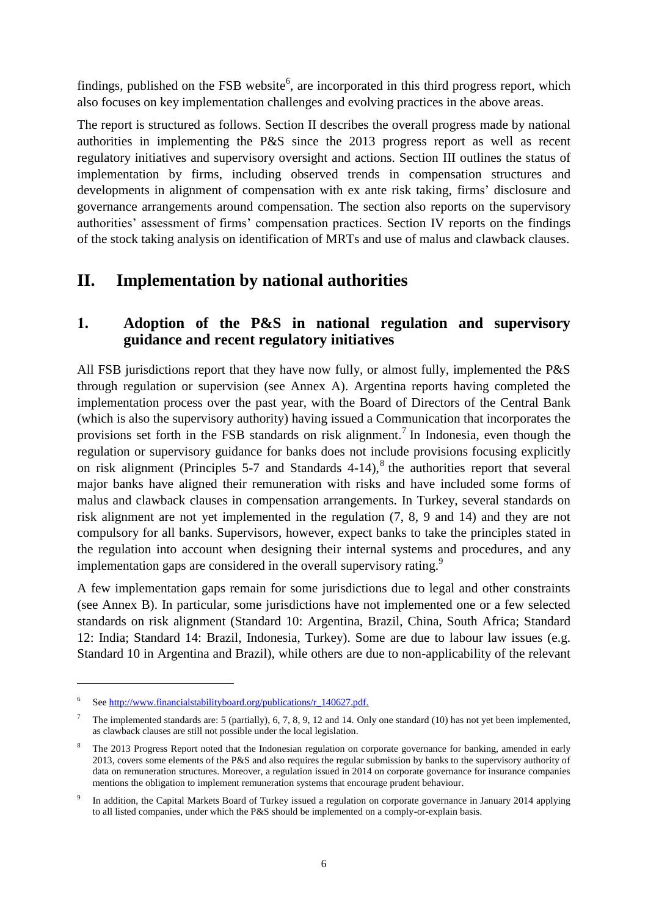findings, published on the FSB website<sup>6</sup>, are incorporated in this third progress report, which also focuses on key implementation challenges and evolving practices in the above areas.

The report is structured as follows. Section II describes the overall progress made by national authorities in implementing the P&S since the 2013 progress report as well as recent regulatory initiatives and supervisory oversight and actions. Section III outlines the status of implementation by firms, including observed trends in compensation structures and developments in alignment of compensation with ex ante risk taking, firms' disclosure and governance arrangements around compensation. The section also reports on the supervisory authorities' assessment of firms' compensation practices. Section IV reports on the findings of the stock taking analysis on identification of MRTs and use of malus and clawback clauses.

# <span id="page-7-0"></span>**II. Implementation by national authorities**

### <span id="page-7-1"></span>**1. Adoption of the P&S in national regulation and supervisory guidance and recent regulatory initiatives**

All FSB jurisdictions report that they have now fully, or almost fully, implemented the P&S through regulation or supervision (see Annex A). Argentina reports having completed the implementation process over the past year, with the Board of Directors of the Central Bank (which is also the supervisory authority) having issued a Communication that incorporates the provisions set forth in the FSB standards on risk alignment.<sup>7</sup> In Indonesia, even though the regulation or supervisory guidance for banks does not include provisions focusing explicitly on risk alignment (Principles 5-7 and Standards 4-14), $8$  the authorities report that several major banks have aligned their remuneration with risks and have included some forms of malus and clawback clauses in compensation arrangements. In Turkey, several standards on risk alignment are not yet implemented in the regulation (7, 8, 9 and 14) and they are not compulsory for all banks. Supervisors, however, expect banks to take the principles stated in the regulation into account when designing their internal systems and procedures, and any implementation gaps are considered in the overall supervisory rating.<sup>9</sup>

A few implementation gaps remain for some jurisdictions due to legal and other constraints (see Annex B). In particular, some jurisdictions have not implemented one or a few selected standards on risk alignment (Standard 10: Argentina, Brazil, China, South Africa; Standard 12: India; Standard 14: Brazil, Indonesia, Turkey). Some are due to labour law issues (e.g. Standard 10 in Argentina and Brazil), while others are due to non-applicability of the relevant

<sup>6</sup> Se[e http://www.financialstabilityboard.org/publications/r\\_140627.pdf.](http://www.financialstabilityboard.org/publications/r_140627.pdf)

<sup>7</sup> The implemented standards are: 5 (partially), 6, 7, 8, 9, 12 and 14. Only one standard (10) has not yet been implemented, as clawback clauses are still not possible under the local legislation.

<sup>8</sup> The 2013 Progress Report noted that the Indonesian regulation on corporate governance for banking, amended in early 2013, covers some elements of the P&S and also requires the regular submission by banks to the supervisory authority of data on remuneration structures. Moreover, a regulation issued in 2014 on corporate governance for insurance companies mentions the obligation to implement remuneration systems that encourage prudent behaviour.

<sup>9</sup> In addition, the Capital Markets Board of Turkey issued a regulation on corporate governance in January 2014 applying to all listed companies, under which the P&S should be implemented on a comply-or-explain basis.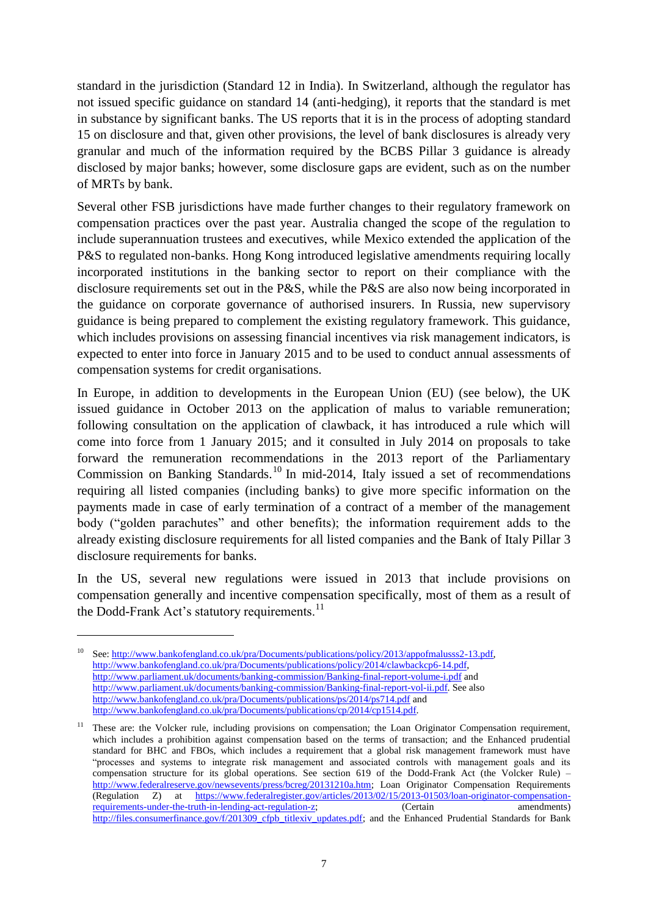standard in the jurisdiction (Standard 12 in India). In Switzerland, although the regulator has not issued specific guidance on standard 14 (anti-hedging), it reports that the standard is met in substance by significant banks. The US reports that it is in the process of adopting standard 15 on disclosure and that, given other provisions, the level of bank disclosures is already very granular and much of the information required by the BCBS Pillar 3 guidance is already disclosed by major banks; however, some disclosure gaps are evident, such as on the number of MRTs by bank.

Several other FSB jurisdictions have made further changes to their regulatory framework on compensation practices over the past year. Australia changed the scope of the regulation to include superannuation trustees and executives, while Mexico extended the application of the P&S to regulated non-banks. Hong Kong introduced legislative amendments requiring locally incorporated institutions in the banking sector to report on their compliance with the disclosure requirements set out in the P&S, while the P&S are also now being incorporated in the guidance on corporate governance of authorised insurers. In Russia, new supervisory guidance is being prepared to complement the existing regulatory framework. This guidance, which includes provisions on assessing financial incentives via risk management indicators, is expected to enter into force in January 2015 and to be used to conduct annual assessments of compensation systems for credit organisations.

In Europe, in addition to developments in the European Union (EU) (see below), the UK issued guidance in October 2013 on the application of malus to variable remuneration; following consultation on the application of clawback, it has introduced a rule which will come into force from 1 January 2015; and it consulted in July 2014 on proposals to take forward the remuneration recommendations in the 2013 report of the Parliamentary Commission on Banking Standards.<sup>10</sup> In mid-2014, Italy issued a set of recommendations requiring all listed companies (including banks) to give more specific information on the payments made in case of early termination of a contract of a member of the management body ("golden parachutes" and other benefits); the information requirement adds to the already existing disclosure requirements for all listed companies and the Bank of Italy Pillar 3 disclosure requirements for banks.

In the US, several new regulations were issued in 2013 that include provisions on compensation generally and incentive compensation specifically, most of them as a result of the Dodd-Frank Act's statutory requirements. $^{11}$ 

<sup>&</sup>lt;sup>10</sup> See: http://www.bankofengland.co.uk/pra/Documents/publications/policy/2013/appofmalusss2-13.pdf, [http://www.bankofengland.co.uk/pra/Documents/publications/policy/2014/clawbackcp6-14.pdf,](http://www.bankofengland.co.uk/pra/Documents/publications/policy/2014/clawbackcp6-14.pdf) <http://www.parliament.uk/documents/banking-commission/Banking-final-report-volume-i.pdf> and [http://www.parliament.uk/documents/banking-commission/Banking-final-report-vol-ii.pdf.](http://www.parliament.uk/documents/banking-commission/Banking-final-report-vol-ii.pdf) See also <http://www.bankofengland.co.uk/pra/Documents/publications/ps/2014/ps714.pdf> and [http://www.bankofengland.co.uk/pra/Documents/publications/cp/2014/cp1514.pdf.](http://www.bankofengland.co.uk/pra/Documents/publications/cp/2014/cp1514.pdf) 

<sup>11</sup> These are: the Volcker rule, including provisions on compensation; the Loan Originator Compensation requirement, which includes a prohibition against compensation based on the terms of transaction; and the Enhanced prudential standard for BHC and FBOs, which includes a requirement that a global risk management framework must have "processes and systems to integrate risk management and associated controls with management goals and its compensation structure for its global operations. See section 619 of the Dodd-Frank Act (the Volcker Rule) – [http://www.federalreserve.gov/newsevents/press/bcreg/20131210a.htm;](http://www.federalreserve.gov/newsevents/press/bcreg/20131210a.htm) Loan Originator Compensation Requirements (Regulation Z) at https://www.federalregister.gov/articles/2013/02/15/2013-01503/loan-originator-compensation-<br>requirements-under-the-truth-in-lending-act-regulation-z: (Certain amendments) [requirements-under-the-truth-in-lending-act-regulation-z;](https://www.federalregister.gov/articles/2013/02/15/2013-01503/loan-originator-compensation-requirements-under-the-truth-in-lending-act-regulation-z) (Certain amendments) [http://files.consumerfinance.gov/f/201309\\_cfpb\\_titlexiv\\_updates.pdf;](http://files.consumerfinance.gov/f/201309_cfpb_titlexiv_updates.pdf) and the Enhanced Prudential Standards for Bank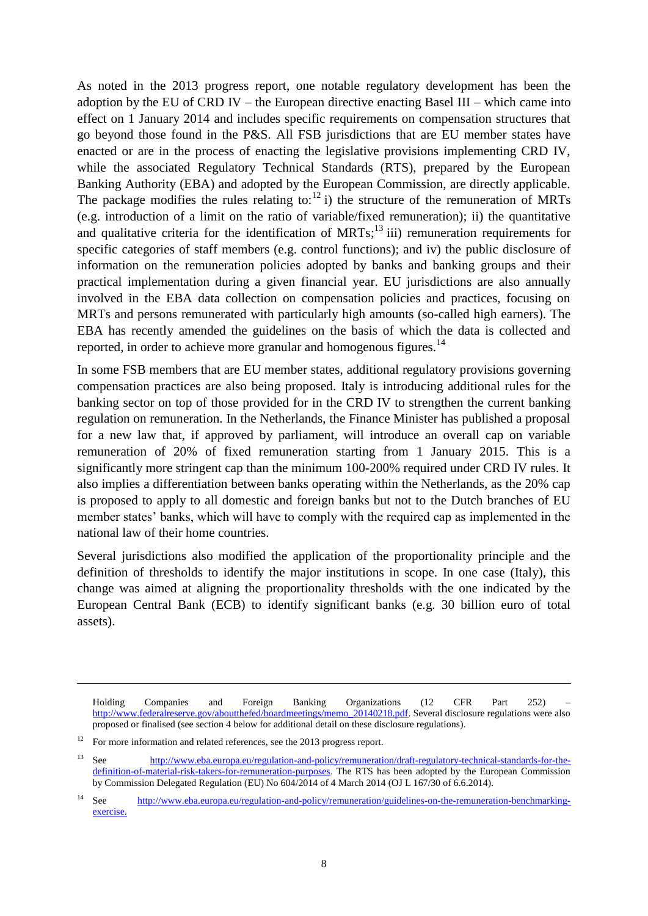As noted in the 2013 progress report, one notable regulatory development has been the adoption by the EU of CRD IV – the European directive enacting Basel III – which came into effect on 1 January 2014 and includes specific requirements on compensation structures that go beyond those found in the P&S. All FSB jurisdictions that are EU member states have enacted or are in the process of enacting the legislative provisions implementing CRD IV, while the associated Regulatory Technical Standards (RTS), prepared by the European Banking Authority (EBA) and adopted by the European Commission, are directly applicable. The package modifies the rules relating to:<sup>12</sup> i) the structure of the remuneration of MRTs (e.g. introduction of a limit on the ratio of variable/fixed remuneration); ii) the quantitative and qualitative criteria for the identification of  $MRTs$ ;<sup>13</sup> iii) remuneration requirements for specific categories of staff members (e.g. control functions); and iv) the public disclosure of information on the remuneration policies adopted by banks and banking groups and their practical implementation during a given financial year. EU jurisdictions are also annually involved in the EBA data collection on compensation policies and practices, focusing on MRTs and persons remunerated with particularly high amounts (so-called high earners). The EBA has recently amended the guidelines on the basis of which the data is collected and reported, in order to achieve more granular and homogenous figures.<sup>14</sup>

In some FSB members that are EU member states, additional regulatory provisions governing compensation practices are also being proposed. Italy is introducing additional rules for the banking sector on top of those provided for in the CRD IV to strengthen the current banking regulation on remuneration. In the Netherlands, the Finance Minister has published a proposal for a new law that, if approved by parliament, will introduce an overall cap on variable remuneration of 20% of fixed remuneration starting from 1 January 2015. This is a significantly more stringent cap than the minimum 100-200% required under CRD IV rules. It also implies a differentiation between banks operating within the Netherlands, as the 20% cap is proposed to apply to all domestic and foreign banks but not to the Dutch branches of EU member states' banks, which will have to comply with the required cap as implemented in the national law of their home countries.

Several jurisdictions also modified the application of the proportionality principle and the definition of thresholds to identify the major institutions in scope. In one case (Italy), this change was aimed at aligning the proportionality thresholds with the one indicated by the European Central Bank (ECB) to identify significant banks (e.g. 30 billion euro of total assets).

Holding Companies and Foreign Banking Organizations (12 CFR Part 252) – [http://www.federalreserve.gov/aboutthefed/boardmeetings/memo\\_20140218.pdf.](http://www.federalreserve.gov/aboutthefed/boardmeetings/memo_20140218.pdf) Several disclosure regulations were also proposed or finalised (see section 4 below for additional detail on these disclosure regulations).

<sup>&</sup>lt;sup>12</sup> For more information and related references, see the 2013 progress report.

<sup>13</sup> See [http://www.eba.europa.eu/regulation-and-policy/remuneration/draft-regulatory-technical-standards-for-the](http://www.eba.europa.eu/regulation-and-policy/remuneration/draft-regulatory-technical-standards-for-the-definition-of-material-risk-takers-for-remuneration-purposes)[definition-of-material-risk-takers-for-remuneration-purposes.](http://www.eba.europa.eu/regulation-and-policy/remuneration/draft-regulatory-technical-standards-for-the-definition-of-material-risk-takers-for-remuneration-purposes) The RTS has been adopted by the European Commission by Commission Delegated Regulation (EU) No 604/2014 of 4 March 2014 (OJ L 167/30 of 6.6.2014).

<sup>14</sup> See [http://www.eba.europa.eu/regulation-and-policy/remuneration/guidelines-on-the-remuneration-benchmarking](http://www.eba.europa.eu/regulation-and-policy/remuneration/guidelines-on-the-remuneration-benchmarking-exercise)[exercise.](http://www.eba.europa.eu/regulation-and-policy/remuneration/guidelines-on-the-remuneration-benchmarking-exercise)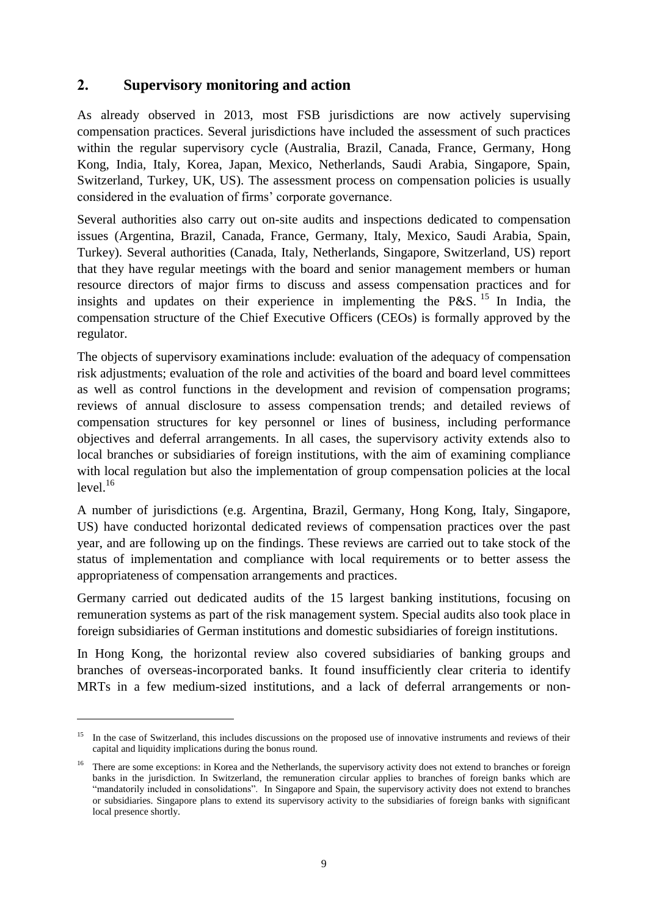### <span id="page-10-0"></span>**2. Supervisory monitoring and action**

As already observed in 2013, most FSB jurisdictions are now actively supervising compensation practices. Several jurisdictions have included the assessment of such practices within the regular supervisory cycle (Australia, Brazil, Canada, France, Germany, Hong Kong, India, Italy, Korea, Japan, Mexico, Netherlands, Saudi Arabia, Singapore, Spain, Switzerland, Turkey, UK, US). The assessment process on compensation policies is usually considered in the evaluation of firms' corporate governance.

Several authorities also carry out on-site audits and inspections dedicated to compensation issues (Argentina, Brazil, Canada, France, Germany, Italy, Mexico, Saudi Arabia, Spain, Turkey). Several authorities (Canada, Italy, Netherlands, Singapore, Switzerland*,* US) report that they have regular meetings with the board and senior management members or human resource directors of major firms to discuss and assess compensation practices and for insights and updates on their experience in implementing the P&S. <sup>15</sup> In India, the compensation structure of the Chief Executive Officers (CEOs) is formally approved by the regulator.

The objects of supervisory examinations include: evaluation of the adequacy of compensation risk adjustments; evaluation of the role and activities of the board and board level committees as well as control functions in the development and revision of compensation programs; reviews of annual disclosure to assess compensation trends; and detailed reviews of compensation structures for key personnel or lines of business, including performance objectives and deferral arrangements. In all cases, the supervisory activity extends also to local branches or subsidiaries of foreign institutions, with the aim of examining compliance with local regulation but also the implementation of group compensation policies at the local  $level.<sup>16</sup>$ 

A number of jurisdictions (e.g. Argentina, Brazil, Germany, Hong Kong, Italy, Singapore, US) have conducted horizontal dedicated reviews of compensation practices over the past year, and are following up on the findings. These reviews are carried out to take stock of the status of implementation and compliance with local requirements or to better assess the appropriateness of compensation arrangements and practices.

Germany carried out dedicated audits of the 15 largest banking institutions, focusing on remuneration systems as part of the risk management system. Special audits also took place in foreign subsidiaries of German institutions and domestic subsidiaries of foreign institutions.

In Hong Kong, the horizontal review also covered subsidiaries of banking groups and branches of overseas-incorporated banks. It found insufficiently clear criteria to identify MRTs in a few medium-sized institutions, and a lack of deferral arrangements or non-

<sup>&</sup>lt;sup>15</sup> In the case of Switzerland, this includes discussions on the proposed use of innovative instruments and reviews of their capital and liquidity implications during the bonus round.

<sup>&</sup>lt;sup>16</sup> There are some exceptions: in Korea and the Netherlands, the supervisory activity does not extend to branches or foreign banks in the jurisdiction. In Switzerland, the remuneration circular applies to branches of foreign banks which are "mandatorily included in consolidations". In Singapore and Spain, the supervisory activity does not extend to branches or subsidiaries. Singapore plans to extend its supervisory activity to the subsidiaries of foreign banks with significant local presence shortly.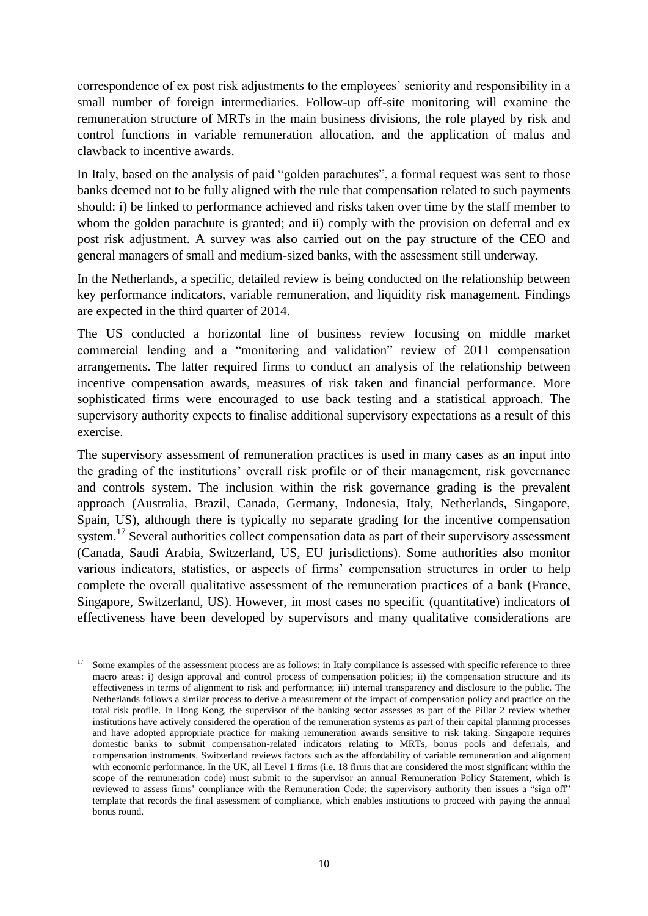correspondence of ex post risk adjustments to the employees' seniority and responsibility in a small number of foreign intermediaries. Follow-up off-site monitoring will examine the remuneration structure of MRTs in the main business divisions, the role played by risk and control functions in variable remuneration allocation, and the application of malus and clawback to incentive awards.

In Italy, based on the analysis of paid "golden parachutes", a formal request was sent to those banks deemed not to be fully aligned with the rule that compensation related to such payments should: i) be linked to performance achieved and risks taken over time by the staff member to whom the golden parachute is granted; and ii) comply with the provision on deferral and ex post risk adjustment. A survey was also carried out on the pay structure of the CEO and general managers of small and medium-sized banks, with the assessment still underway.

In the Netherlands, a specific, detailed review is being conducted on the relationship between key performance indicators, variable remuneration, and liquidity risk management. Findings are expected in the third quarter of 2014.

The US conducted a horizontal line of business review focusing on middle market commercial lending and a "monitoring and validation" review of 2011 compensation arrangements. The latter required firms to conduct an analysis of the relationship between incentive compensation awards, measures of risk taken and financial performance. More sophisticated firms were encouraged to use back testing and a statistical approach. The supervisory authority expects to finalise additional supervisory expectations as a result of this exercise.

The supervisory assessment of remuneration practices is used in many cases as an input into the grading of the institutions' overall risk profile or of their management, risk governance and controls system. The inclusion within the risk governance grading is the prevalent approach (Australia, Brazil, Canada, Germany, Indonesia, Italy, Netherlands, Singapore, Spain, US), although there is typically no separate grading for the incentive compensation system.<sup>17</sup> Several authorities collect compensation data as part of their supervisory assessment (Canada, Saudi Arabia, Switzerland, US, EU jurisdictions). Some authorities also monitor various indicators, statistics, or aspects of firms' compensation structures in order to help complete the overall qualitative assessment of the remuneration practices of a bank (France, Singapore, Switzerland, US). However, in most cases no specific (quantitative) indicators of effectiveness have been developed by supervisors and many qualitative considerations are

<sup>&</sup>lt;sup>17</sup> Some examples of the assessment process are as follows: in Italy compliance is assessed with specific reference to three macro areas: i) design approval and control process of compensation policies; ii) the compensation structure and its effectiveness in terms of alignment to risk and performance; iii) internal transparency and disclosure to the public. The Netherlands follows a similar process to derive a measurement of the impact of compensation policy and practice on the total risk profile. In Hong Kong, the supervisor of the banking sector assesses as part of the Pillar 2 review whether institutions have actively considered the operation of the remuneration systems as part of their capital planning processes and have adopted appropriate practice for making remuneration awards sensitive to risk taking. Singapore requires domestic banks to submit compensation-related indicators relating to MRTs, bonus pools and deferrals, and compensation instruments. Switzerland reviews factors such as the affordability of variable remuneration and alignment with economic performance. In the UK, all Level 1 firms (i.e. 18 firms that are considered the most significant within the scope of the remuneration code) must submit to the supervisor an annual Remuneration Policy Statement, which is reviewed to assess firms' compliance with the Remuneration Code; the supervisory authority then issues a "sign off" template that records the final assessment of compliance, which enables institutions to proceed with paying the annual bonus round.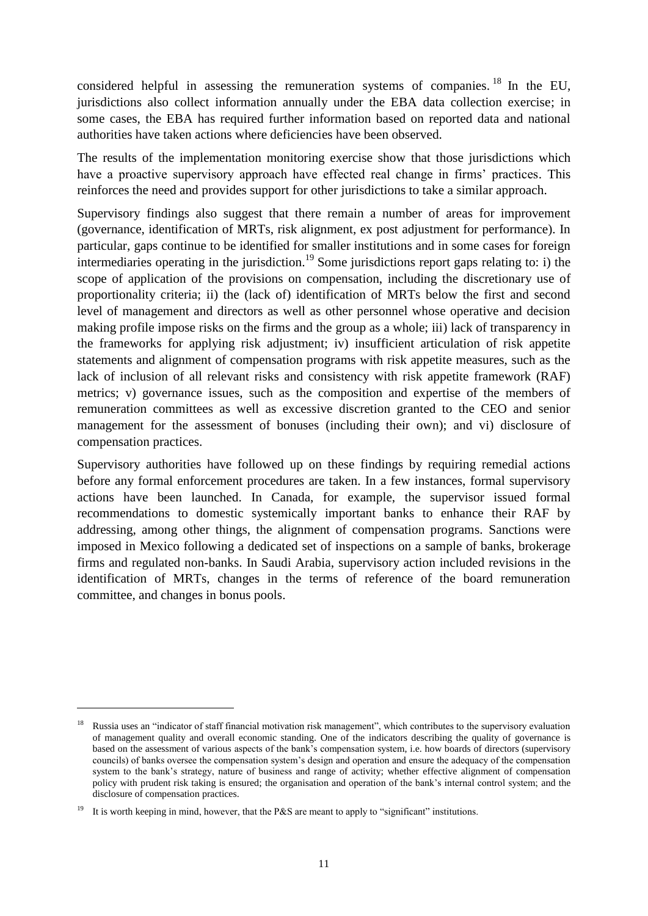considered helpful in assessing the remuneration systems of companies.<sup>18</sup> In the EU, jurisdictions also collect information annually under the EBA data collection exercise; in some cases, the EBA has required further information based on reported data and national authorities have taken actions where deficiencies have been observed.

The results of the implementation monitoring exercise show that those jurisdictions which have a proactive supervisory approach have effected real change in firms' practices. This reinforces the need and provides support for other jurisdictions to take a similar approach.

Supervisory findings also suggest that there remain a number of areas for improvement (governance, identification of MRTs, risk alignment, ex post adjustment for performance). In particular, gaps continue to be identified for smaller institutions and in some cases for foreign intermediaries operating in the jurisdiction.<sup>19</sup> Some jurisdictions report gaps relating to: i) the scope of application of the provisions on compensation, including the discretionary use of proportionality criteria; ii) the (lack of) identification of MRTs below the first and second level of management and directors as well as other personnel whose operative and decision making profile impose risks on the firms and the group as a whole; iii) lack of transparency in the frameworks for applying risk adjustment; iv) insufficient articulation of risk appetite statements and alignment of compensation programs with risk appetite measures, such as the lack of inclusion of all relevant risks and consistency with risk appetite framework (RAF) metrics; v) governance issues, such as the composition and expertise of the members of remuneration committees as well as excessive discretion granted to the CEO and senior management for the assessment of bonuses (including their own); and vi) disclosure of compensation practices.

Supervisory authorities have followed up on these findings by requiring remedial actions before any formal enforcement procedures are taken. In a few instances, formal supervisory actions have been launched. In Canada, for example, the supervisor issued formal recommendations to domestic systemically important banks to enhance their RAF by addressing, among other things, the alignment of compensation programs. Sanctions were imposed in Mexico following a dedicated set of inspections on a sample of banks, brokerage firms and regulated non-banks. In Saudi Arabia, supervisory action included revisions in the identification of MRTs, changes in the terms of reference of the board remuneration committee, and changes in bonus pools.

<sup>&</sup>lt;sup>18</sup> Russia uses an "indicator of staff financial motivation risk management", which contributes to the supervisory evaluation of management quality and overall economic standing. One of the indicators describing the quality of governance is based on the assessment of various aspects of the bank's compensation system, i.e. how boards of directors (supervisory councils) of banks oversee the compensation system's design and operation and ensure the adequacy of the compensation system to the bank's strategy, nature of business and range of activity; whether effective alignment of compensation policy with prudent risk taking is ensured; the organisation and operation of the bank's internal control system; and the disclosure of compensation practices.

<sup>&</sup>lt;sup>19</sup> It is worth keeping in mind, however, that the P&S are meant to apply to "significant" institutions.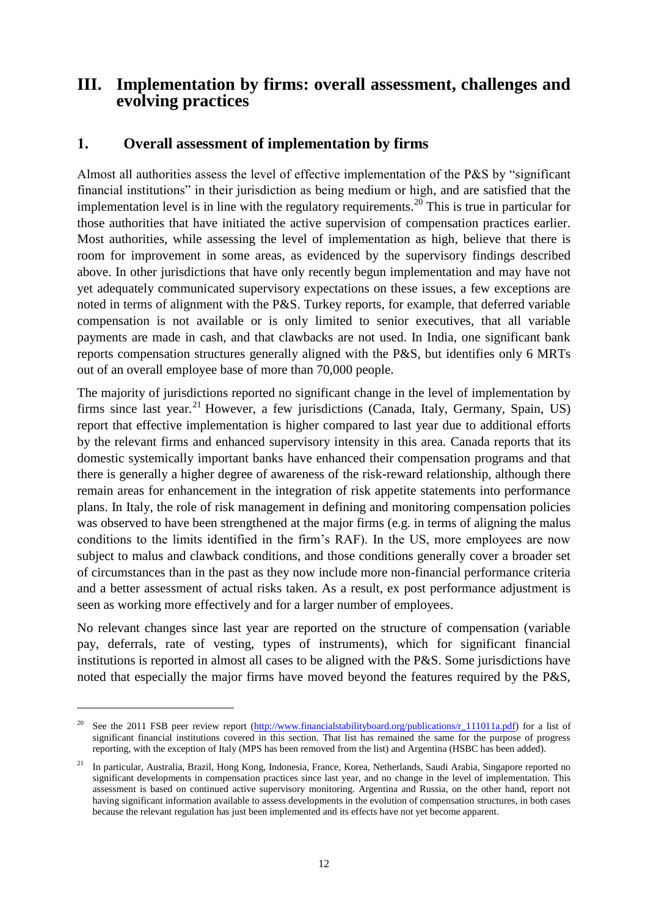### <span id="page-13-0"></span>**III. Implementation by firms: overall assessment, challenges and evolving practices**

### <span id="page-13-1"></span>**1. Overall assessment of implementation by firms**

Almost all authorities assess the level of effective implementation of the P&S by "significant financial institutions" in their jurisdiction as being medium or high, and are satisfied that the implementation level is in line with the regulatory requirements.<sup>20</sup> This is true in particular for those authorities that have initiated the active supervision of compensation practices earlier. Most authorities, while assessing the level of implementation as high, believe that there is room for improvement in some areas, as evidenced by the supervisory findings described above. In other jurisdictions that have only recently begun implementation and may have not yet adequately communicated supervisory expectations on these issues, a few exceptions are noted in terms of alignment with the P&S. Turkey reports, for example, that deferred variable compensation is not available or is only limited to senior executives, that all variable payments are made in cash, and that clawbacks are not used. In India, one significant bank reports compensation structures generally aligned with the P&S, but identifies only 6 MRTs out of an overall employee base of more than 70,000 people.

The majority of jurisdictions reported no significant change in the level of implementation by firms since last year.<sup>21</sup> However, a few jurisdictions (Canada, Italy, Germany, Spain, US) report that effective implementation is higher compared to last year due to additional efforts by the relevant firms and enhanced supervisory intensity in this area*.* Canada reports that its domestic systemically important banks have enhanced their compensation programs and that there is generally a higher degree of awareness of the risk-reward relationship, although there remain areas for enhancement in the integration of risk appetite statements into performance plans. In Italy, the role of risk management in defining and monitoring compensation policies was observed to have been strengthened at the major firms (e.g. in terms of aligning the malus conditions to the limits identified in the firm's RAF). In the US, more employees are now subject to malus and clawback conditions, and those conditions generally cover a broader set of circumstances than in the past as they now include more non-financial performance criteria and a better assessment of actual risks taken. As a result, ex post performance adjustment is seen as working more effectively and for a larger number of employees.

No relevant changes since last year are reported on the structure of compensation (variable pay, deferrals, rate of vesting, types of instruments), which for significant financial institutions is reported in almost all cases to be aligned with the P&S. Some jurisdictions have noted that especially the major firms have moved beyond the features required by the P&S,

See the 2011 FSB peer review report [\(http://www.financialstabilityboard.org/publications/r\\_111011a.pdf\)](http://www.financialstabilityboard.org/publications/r_111011a.pdf) for a list of significant financial institutions covered in this section. That list has remained the same for the purpose of progress reporting, with the exception of Italy (MPS has been removed from the list) and Argentina (HSBC has been added).

<sup>&</sup>lt;sup>21</sup> In particular, Australia, Brazil, Hong Kong, Indonesia, France, Korea, Netherlands, Saudi Arabia, Singapore reported no significant developments in compensation practices since last year, and no change in the level of implementation. This assessment is based on continued active supervisory monitoring. Argentina and Russia, on the other hand, report not having significant information available to assess developments in the evolution of compensation structures, in both cases because the relevant regulation has just been implemented and its effects have not yet become apparent.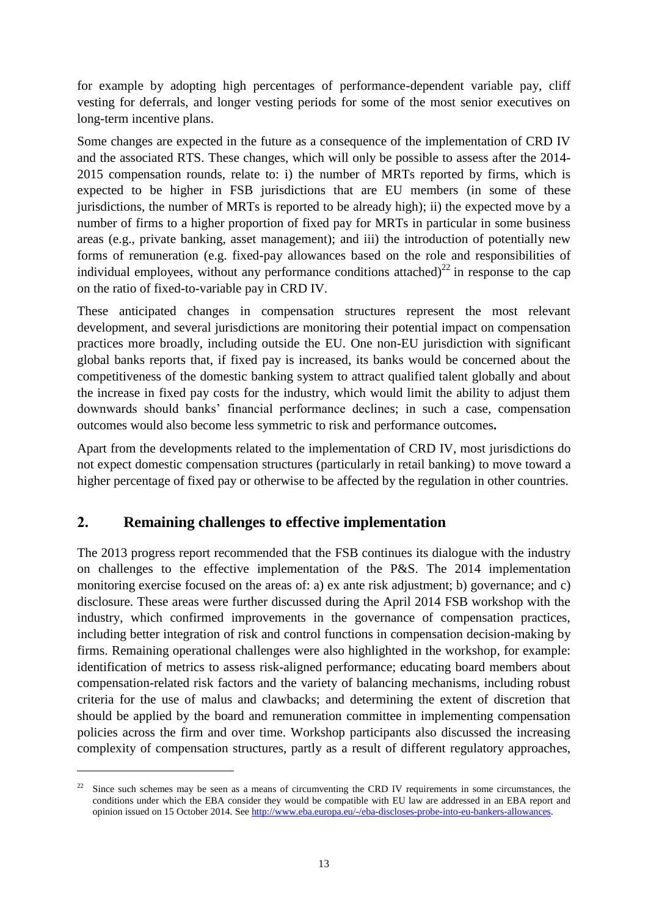for example by adopting high percentages of performance-dependent variable pay, cliff vesting for deferrals, and longer vesting periods for some of the most senior executives on long-term incentive plans.

Some changes are expected in the future as a consequence of the implementation of CRD IV and the associated RTS. These changes, which will only be possible to assess after the 2014- 2015 compensation rounds, relate to: i) the number of MRTs reported by firms, which is expected to be higher in FSB jurisdictions that are EU members (in some of these jurisdictions, the number of MRTs is reported to be already high); ii) the expected move by a number of firms to a higher proportion of fixed pay for MRTs in particular in some business areas (e.g., private banking, asset management); and iii) the introduction of potentially new forms of remuneration (e.g. fixed-pay allowances based on the role and responsibilities of individual employees, without any performance conditions attached) $^{22}$  in response to the cap on the ratio of fixed-to-variable pay in CRD IV.

These anticipated changes in compensation structures represent the most relevant development, and several jurisdictions are monitoring their potential impact on compensation practices more broadly, including outside the EU. One non-EU jurisdiction with significant global banks reports that, if fixed pay is increased, its banks would be concerned about the competitiveness of the domestic banking system to attract qualified talent globally and about the increase in fixed pay costs for the industry, which would limit the ability to adjust them downwards should banks' financial performance declines; in such a case, compensation outcomes would also become less symmetric to risk and performance outcomes**.** 

Apart from the developments related to the implementation of CRD IV, most jurisdictions do not expect domestic compensation structures (particularly in retail banking) to move toward a higher percentage of fixed pay or otherwise to be affected by the regulation in other countries.

### <span id="page-14-0"></span>**2. Remaining challenges to effective implementation**

 $\overline{a}$ 

The 2013 progress report recommended that the FSB continues its dialogue with the industry on challenges to the effective implementation of the P&S. The 2014 implementation monitoring exercise focused on the areas of: a) ex ante risk adjustment; b) governance; and c) disclosure. These areas were further discussed during the April 2014 FSB workshop with the industry, which confirmed improvements in the governance of compensation practices, including better integration of risk and control functions in compensation decision-making by firms. Remaining operational challenges were also highlighted in the workshop, for example: identification of metrics to assess risk-aligned performance; educating board members about compensation-related risk factors and the variety of balancing mechanisms, including robust criteria for the use of malus and clawbacks; and determining the extent of discretion that should be applied by the board and remuneration committee in implementing compensation policies across the firm and over time. Workshop participants also discussed the increasing complexity of compensation structures, partly as a result of different regulatory approaches,

Since such schemes may be seen as a means of circumventing the CRD IV requirements in some circumstances, the conditions under which the EBA consider they would be compatible with EU law are addressed in an EBA report and opinion issued on 15 October 2014. Se[e http://www.eba.europa.eu/-/eba-discloses-probe-into-eu-bankers-allowances.](http://www.eba.europa.eu/-/eba-discloses-probe-into-eu-bankers-allowances)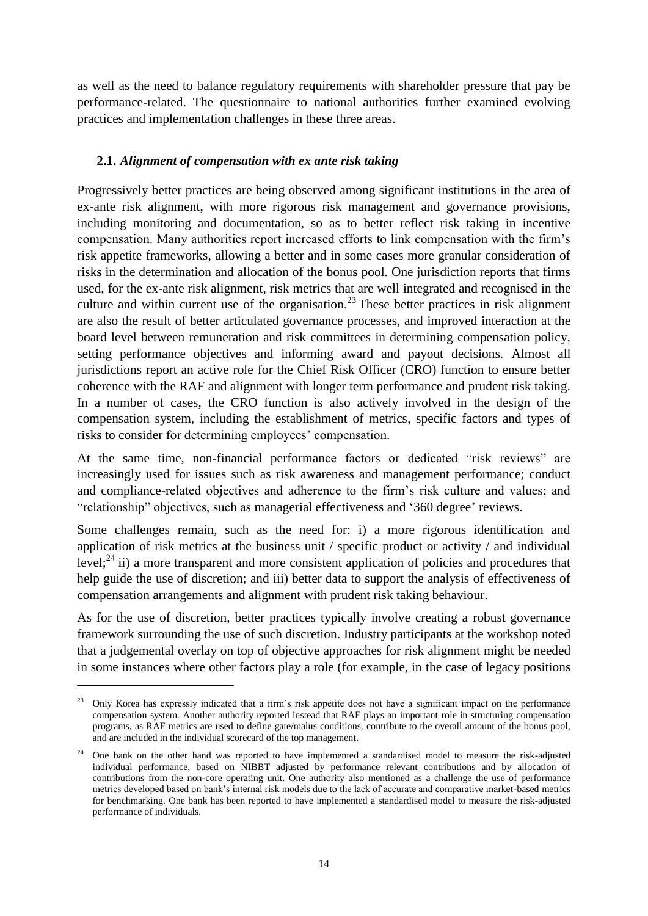as well as the need to balance regulatory requirements with shareholder pressure that pay be performance-related. The questionnaire to national authorities further examined evolving practices and implementation challenges in these three areas.

#### <span id="page-15-0"></span>**2.1.** *Alignment of compensation with ex ante risk taking*

Progressively better practices are being observed among significant institutions in the area of ex-ante risk alignment, with more rigorous risk management and governance provisions, including monitoring and documentation, so as to better reflect risk taking in incentive compensation. Many authorities report increased efforts to link compensation with the firm's risk appetite frameworks, allowing a better and in some cases more granular consideration of risks in the determination and allocation of the bonus pool. One jurisdiction reports that firms used, for the ex-ante risk alignment, risk metrics that are well integrated and recognised in the culture and within current use of the organisation.<sup>23</sup> These better practices in risk alignment are also the result of better articulated governance processes, and improved interaction at the board level between remuneration and risk committees in determining compensation policy, setting performance objectives and informing award and payout decisions. Almost all jurisdictions report an active role for the Chief Risk Officer (CRO) function to ensure better coherence with the RAF and alignment with longer term performance and prudent risk taking. In a number of cases, the CRO function is also actively involved in the design of the compensation system, including the establishment of metrics, specific factors and types of risks to consider for determining employees' compensation.

At the same time, non-financial performance factors or dedicated "risk reviews" are increasingly used for issues such as risk awareness and management performance; conduct and compliance-related objectives and adherence to the firm's risk culture and values; and "relationship" objectives, such as managerial effectiveness and '360 degree' reviews.

Some challenges remain, such as the need for: i) a more rigorous identification and application of risk metrics at the business unit / specific product or activity / and individual level: $^{24}$  ii) a more transparent and more consistent application of policies and procedures that help guide the use of discretion; and iii) better data to support the analysis of effectiveness of compensation arrangements and alignment with prudent risk taking behaviour.

As for the use of discretion, better practices typically involve creating a robust governance framework surrounding the use of such discretion. Industry participants at the workshop noted that a judgemental overlay on top of objective approaches for risk alignment might be needed in some instances where other factors play a role (for example, in the case of legacy positions

<sup>23</sup> Only Korea has expressly indicated that a firm's risk appetite does not have a significant impact on the performance compensation system. Another authority reported instead that RAF plays an important role in structuring compensation programs, as RAF metrics are used to define gate/malus conditions, contribute to the overall amount of the bonus pool, and are included in the individual scorecard of the top management.

<sup>24</sup> One bank on the other hand was reported to have implemented a standardised model to measure the risk-adjusted individual performance, based on NIBBT adjusted by performance relevant contributions and by allocation of contributions from the non-core operating unit. One authority also mentioned as a challenge the use of performance metrics developed based on bank's internal risk models due to the lack of accurate and comparative market-based metrics for benchmarking. One bank has been reported to have implemented a standardised model to measure the risk-adjusted performance of individuals.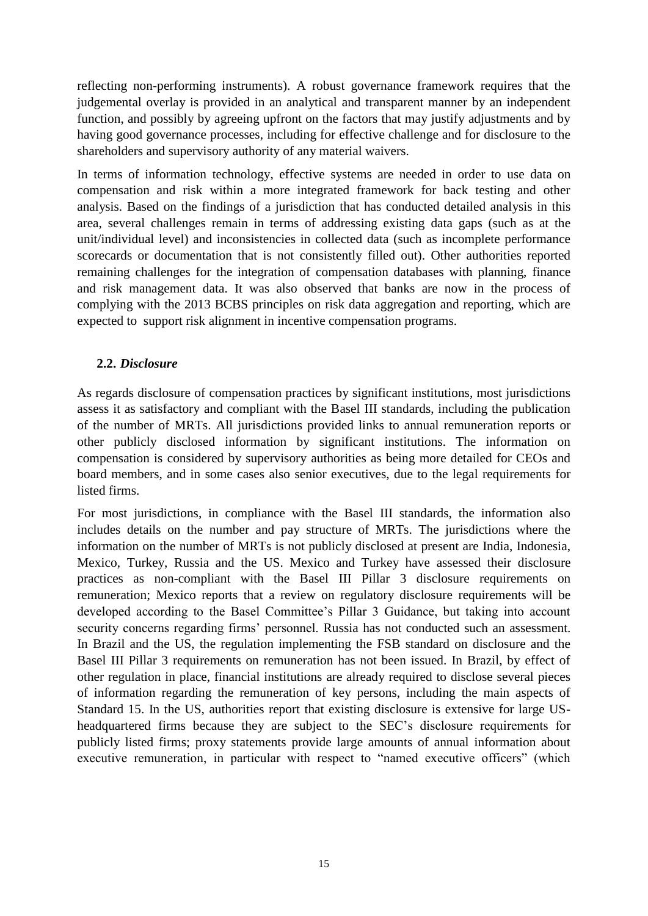reflecting non-performing instruments). A robust governance framework requires that the judgemental overlay is provided in an analytical and transparent manner by an independent function, and possibly by agreeing upfront on the factors that may justify adjustments and by having good governance processes, including for effective challenge and for disclosure to the shareholders and supervisory authority of any material waivers.

In terms of information technology, effective systems are needed in order to use data on compensation and risk within a more integrated framework for back testing and other analysis. Based on the findings of a jurisdiction that has conducted detailed analysis in this area, several challenges remain in terms of addressing existing data gaps (such as at the unit/individual level) and inconsistencies in collected data (such as incomplete performance scorecards or documentation that is not consistently filled out). Other authorities reported remaining challenges for the integration of compensation databases with planning, finance and risk management data. It was also observed that banks are now in the process of complying with the 2013 BCBS principles on risk data aggregation and reporting, which are expected to support risk alignment in incentive compensation programs.

#### <span id="page-16-0"></span>**2.2.** *Disclosure*

As regards disclosure of compensation practices by significant institutions, most jurisdictions assess it as satisfactory and compliant with the Basel III standards, including the publication of the number of MRTs. All jurisdictions provided links to annual remuneration reports or other publicly disclosed information by significant institutions. The information on compensation is considered by supervisory authorities as being more detailed for CEOs and board members, and in some cases also senior executives, due to the legal requirements for listed firms.

For most jurisdictions, in compliance with the Basel III standards, the information also includes details on the number and pay structure of MRTs. The jurisdictions where the information on the number of MRTs is not publicly disclosed at present are India, Indonesia, Mexico, Turkey, Russia and the US. Mexico and Turkey have assessed their disclosure practices as non-compliant with the Basel III Pillar 3 disclosure requirements on remuneration; Mexico reports that a review on regulatory disclosure requirements will be developed according to the Basel Committee's Pillar 3 Guidance, but taking into account security concerns regarding firms' personnel. Russia has not conducted such an assessment. In Brazil and the US, the regulation implementing the FSB standard on disclosure and the Basel III Pillar 3 requirements on remuneration has not been issued. In Brazil, by effect of other regulation in place, financial institutions are already required to disclose several pieces of information regarding the remuneration of key persons, including the main aspects of Standard 15. In the US, authorities report that existing disclosure is extensive for large USheadquartered firms because they are subject to the SEC's disclosure requirements for publicly listed firms; proxy statements provide large amounts of annual information about executive remuneration, in particular with respect to "named executive officers" (which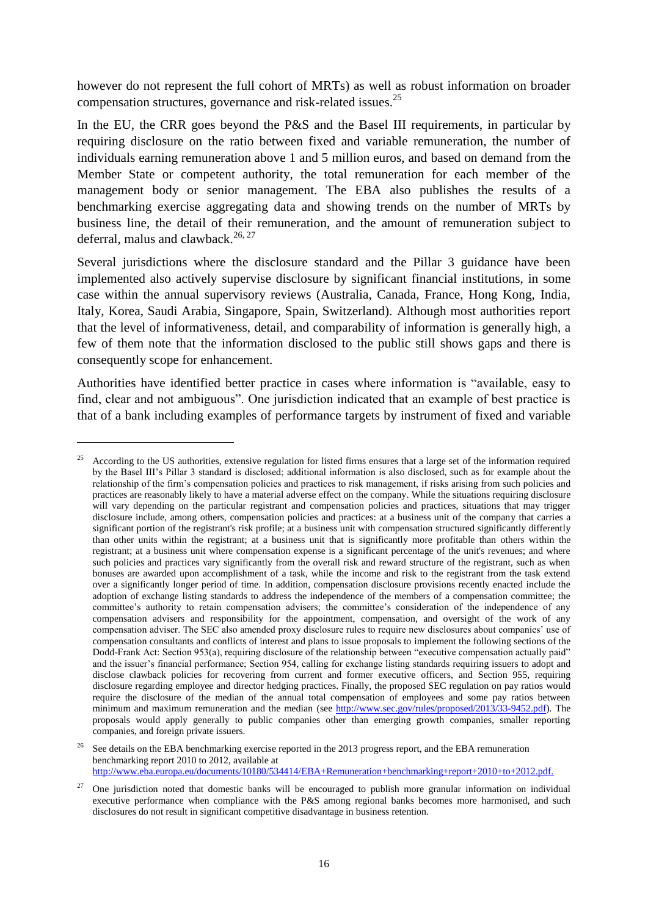however do not represent the full cohort of MRTs) as well as robust information on broader compensation structures, governance and risk-related issues.<sup>25</sup>

In the EU, the CRR goes beyond the P&S and the Basel III requirements, in particular by requiring disclosure on the ratio between fixed and variable remuneration, the number of individuals earning remuneration above 1 and 5 million euros, and based on demand from the Member State or competent authority, the total remuneration for each member of the management body or senior management. The EBA also publishes the results of a benchmarking exercise aggregating data and showing trends on the number of MRTs by business line, the detail of their remuneration, and the amount of remuneration subject to deferral, malus and clawback. $26, 27$ 

Several jurisdictions where the disclosure standard and the Pillar 3 guidance have been implemented also actively supervise disclosure by significant financial institutions, in some case within the annual supervisory reviews (Australia, Canada, France, Hong Kong, India, Italy, Korea, Saudi Arabia, Singapore, Spain, Switzerland). Although most authorities report that the level of informativeness, detail, and comparability of information is generally high, a few of them note that the information disclosed to the public still shows gaps and there is consequently scope for enhancement.

Authorities have identified better practice in cases where information is "available, easy to find, clear and not ambiguous". One jurisdiction indicated that an example of best practice is that of a bank including examples of performance targets by instrument of fixed and variable

<sup>25</sup> According to the US authorities, extensive regulation for listed firms ensures that a large set of the information required by the Basel III's Pillar 3 standard is disclosed; additional information is also disclosed, such as for example about the relationship of the firm's compensation policies and practices to risk management, if risks arising from such policies and practices are reasonably likely to have a material adverse effect on the company. While the situations requiring disclosure will vary depending on the particular registrant and compensation policies and practices, situations that may trigger disclosure include, among others, compensation policies and practices: at a business unit of the company that carries a significant portion of the registrant's risk profile; at a business unit with compensation structured significantly differently than other units within the registrant; at a business unit that is significantly more profitable than others within the registrant; at a business unit where compensation expense is a significant percentage of the unit's revenues; and where such policies and practices vary significantly from the overall risk and reward structure of the registrant, such as when bonuses are awarded upon accomplishment of a task, while the income and risk to the registrant from the task extend over a significantly longer period of time. In addition, compensation disclosure provisions recently enacted include the adoption of exchange listing standards to address the independence of the members of a compensation committee; the committee's authority to retain compensation advisers; the committee's consideration of the independence of any compensation advisers and responsibility for the appointment, compensation, and oversight of the work of any compensation adviser. The SEC also amended proxy disclosure rules to require new disclosures about companies' use of compensation consultants and conflicts of interest and plans to issue proposals to implement the following sections of the Dodd-Frank Act: Section 953(a), requiring disclosure of the relationship between "executive compensation actually paid" and the issuer's financial performance; Section 954, calling for exchange listing standards requiring issuers to adopt and disclose clawback policies for recovering from current and former executive officers, and Section 955, requiring disclosure regarding employee and director hedging practices. Finally, the proposed SEC regulation on pay ratios would require the disclosure of the median of the annual total compensation of employees and some pay ratios between minimum and maximum remuneration and the median (see [http://www.sec.gov/rules/proposed/2013/33-9452.pdf\)](http://www.sec.gov/rules/proposed/2013/33-9452.pdf). The proposals would apply generally to public companies other than emerging growth companies, smaller reporting companies, and foreign private issuers.

<sup>&</sup>lt;sup>26</sup> See details on the EBA benchmarking exercise reported in the 2013 progress report, and the EBA remuneration benchmarking report 2010 to 2012, available at [http://www.eba.europa.eu/documents/10180/534414/EBA+Remuneration+benchmarking+report+2010+to+2012.pdf.](http://www.eba.europa.eu/documents/10180/534414/EBA+Remuneration+benchmarking+report+2010+to+2012.pdf)

<sup>27</sup> One jurisdiction noted that domestic banks will be encouraged to publish more granular information on individual executive performance when compliance with the P&S among regional banks becomes more harmonised, and such disclosures do not result in significant competitive disadvantage in business retention.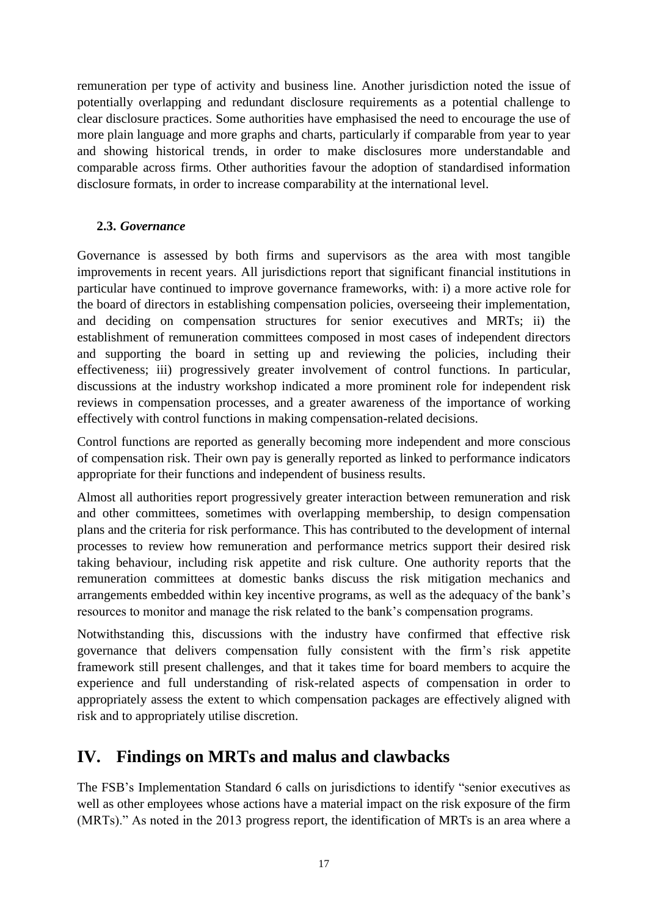remuneration per type of activity and business line. Another jurisdiction noted the issue of potentially overlapping and redundant disclosure requirements as a potential challenge to clear disclosure practices. Some authorities have emphasised the need to encourage the use of more plain language and more graphs and charts, particularly if comparable from year to year and showing historical trends, in order to make disclosures more understandable and comparable across firms. Other authorities favour the adoption of standardised information disclosure formats, in order to increase comparability at the international level.

#### <span id="page-18-0"></span>**2.3.** *Governance*

Governance is assessed by both firms and supervisors as the area with most tangible improvements in recent years. All jurisdictions report that significant financial institutions in particular have continued to improve governance frameworks, with: i) a more active role for the board of directors in establishing compensation policies, overseeing their implementation, and deciding on compensation structures for senior executives and MRTs; ii) the establishment of remuneration committees composed in most cases of independent directors and supporting the board in setting up and reviewing the policies, including their effectiveness; iii) progressively greater involvement of control functions. In particular, discussions at the industry workshop indicated a more prominent role for independent risk reviews in compensation processes, and a greater awareness of the importance of working effectively with control functions in making compensation-related decisions.

Control functions are reported as generally becoming more independent and more conscious of compensation risk. Their own pay is generally reported as linked to performance indicators appropriate for their functions and independent of business results.

Almost all authorities report progressively greater interaction between remuneration and risk and other committees, sometimes with overlapping membership, to design compensation plans and the criteria for risk performance. This has contributed to the development of internal processes to review how remuneration and performance metrics support their desired risk taking behaviour, including risk appetite and risk culture. One authority reports that the remuneration committees at domestic banks discuss the risk mitigation mechanics and arrangements embedded within key incentive programs, as well as the adequacy of the bank's resources to monitor and manage the risk related to the bank's compensation programs.

Notwithstanding this, discussions with the industry have confirmed that effective risk governance that delivers compensation fully consistent with the firm's risk appetite framework still present challenges, and that it takes time for board members to acquire the experience and full understanding of risk-related aspects of compensation in order to appropriately assess the extent to which compensation packages are effectively aligned with risk and to appropriately utilise discretion.

# <span id="page-18-1"></span>**IV. Findings on MRTs and malus and clawbacks**

The FSB's Implementation Standard 6 calls on jurisdictions to identify "senior executives as well as other employees whose actions have a material impact on the risk exposure of the firm (MRTs)." As noted in the 2013 progress report, the identification of MRTs is an area where a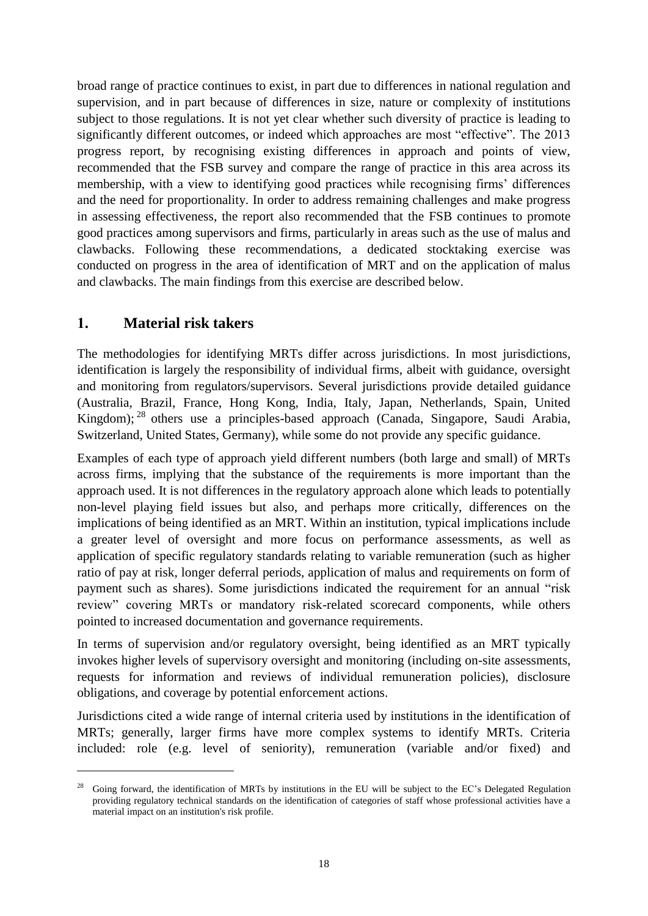broad range of practice continues to exist, in part due to differences in national regulation and supervision, and in part because of differences in size, nature or complexity of institutions subject to those regulations. It is not yet clear whether such diversity of practice is leading to significantly different outcomes, or indeed which approaches are most "effective". The 2013 progress report, by recognising existing differences in approach and points of view, recommended that the FSB survey and compare the range of practice in this area across its membership, with a view to identifying good practices while recognising firms' differences and the need for proportionality. In order to address remaining challenges and make progress in assessing effectiveness, the report also recommended that the FSB continues to promote good practices among supervisors and firms, particularly in areas such as the use of malus and clawbacks. Following these recommendations, a dedicated stocktaking exercise was conducted on progress in the area of identification of MRT and on the application of malus and clawbacks. The main findings from this exercise are described below.

### <span id="page-19-0"></span>**1. Material risk takers**

 $\overline{a}$ 

The methodologies for identifying MRTs differ across jurisdictions. In most jurisdictions, identification is largely the responsibility of individual firms, albeit with guidance, oversight and monitoring from regulators/supervisors. Several jurisdictions provide detailed guidance (Australia, Brazil, France, Hong Kong, India, Italy, Japan, Netherlands, Spain, United Kingdom); <sup>28</sup> others use a principles-based approach (Canada, Singapore, Saudi Arabia, Switzerland, United States, Germany), while some do not provide any specific guidance.

Examples of each type of approach yield different numbers (both large and small) of MRTs across firms, implying that the substance of the requirements is more important than the approach used. It is not differences in the regulatory approach alone which leads to potentially non-level playing field issues but also, and perhaps more critically, differences on the implications of being identified as an MRT. Within an institution, typical implications include a greater level of oversight and more focus on performance assessments, as well as application of specific regulatory standards relating to variable remuneration (such as higher ratio of pay at risk, longer deferral periods, application of malus and requirements on form of payment such as shares). Some jurisdictions indicated the requirement for an annual "risk review" covering MRTs or mandatory risk-related scorecard components, while others pointed to increased documentation and governance requirements.

In terms of supervision and/or regulatory oversight, being identified as an MRT typically invokes higher levels of supervisory oversight and monitoring (including on-site assessments, requests for information and reviews of individual remuneration policies), disclosure obligations, and coverage by potential enforcement actions.

Jurisdictions cited a wide range of internal criteria used by institutions in the identification of MRTs; generally, larger firms have more complex systems to identify MRTs. Criteria included: role (e.g. level of seniority), remuneration (variable and/or fixed) and

Going forward, the identification of MRTs by institutions in the EU will be subject to the EC's Delegated Regulation providing regulatory technical standards on the identification of categories of staff whose professional activities have a material impact on an institution's risk profile.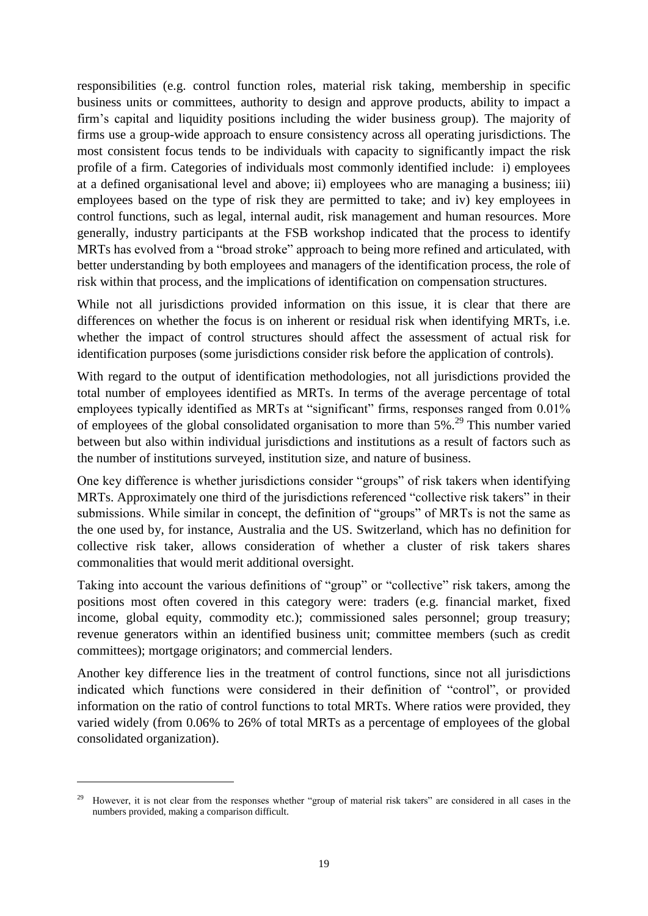responsibilities (e.g. control function roles, material risk taking, membership in specific business units or committees, authority to design and approve products, ability to impact a firm's capital and liquidity positions including the wider business group). The majority of firms use a group-wide approach to ensure consistency across all operating jurisdictions. The most consistent focus tends to be individuals with capacity to significantly impact the risk profile of a firm. Categories of individuals most commonly identified include: i) employees at a defined organisational level and above; ii) employees who are managing a business; iii) employees based on the type of risk they are permitted to take; and iv) key employees in control functions, such as legal, internal audit, risk management and human resources. More generally, industry participants at the FSB workshop indicated that the process to identify MRTs has evolved from a "broad stroke" approach to being more refined and articulated, with better understanding by both employees and managers of the identification process, the role of risk within that process, and the implications of identification on compensation structures.

While not all jurisdictions provided information on this issue, it is clear that there are differences on whether the focus is on inherent or residual risk when identifying MRTs, i.e. whether the impact of control structures should affect the assessment of actual risk for identification purposes (some jurisdictions consider risk before the application of controls).

With regard to the output of identification methodologies, not all jurisdictions provided the total number of employees identified as MRTs. In terms of the average percentage of total employees typically identified as MRTs at "significant" firms, responses ranged from 0.01% of employees of the global consolidated organisation to more than 5%.<sup>29</sup> This number varied between but also within individual jurisdictions and institutions as a result of factors such as the number of institutions surveyed, institution size, and nature of business.

One key difference is whether jurisdictions consider "groups" of risk takers when identifying MRTs. Approximately one third of the jurisdictions referenced "collective risk takers" in their submissions. While similar in concept, the definition of "groups" of MRTs is not the same as the one used by, for instance, Australia and the US. Switzerland, which has no definition for collective risk taker, allows consideration of whether a cluster of risk takers shares commonalities that would merit additional oversight.

Taking into account the various definitions of "group" or "collective" risk takers, among the positions most often covered in this category were: traders (e.g. financial market, fixed income, global equity, commodity etc.); commissioned sales personnel; group treasury; revenue generators within an identified business unit; committee members (such as credit committees); mortgage originators; and commercial lenders.

Another key difference lies in the treatment of control functions, since not all jurisdictions indicated which functions were considered in their definition of "control", or provided information on the ratio of control functions to total MRTs. Where ratios were provided, they varied widely (from 0.06% to 26% of total MRTs as a percentage of employees of the global consolidated organization).

<sup>29</sup> However, it is not clear from the responses whether "group of material risk takers" are considered in all cases in the numbers provided, making a comparison difficult.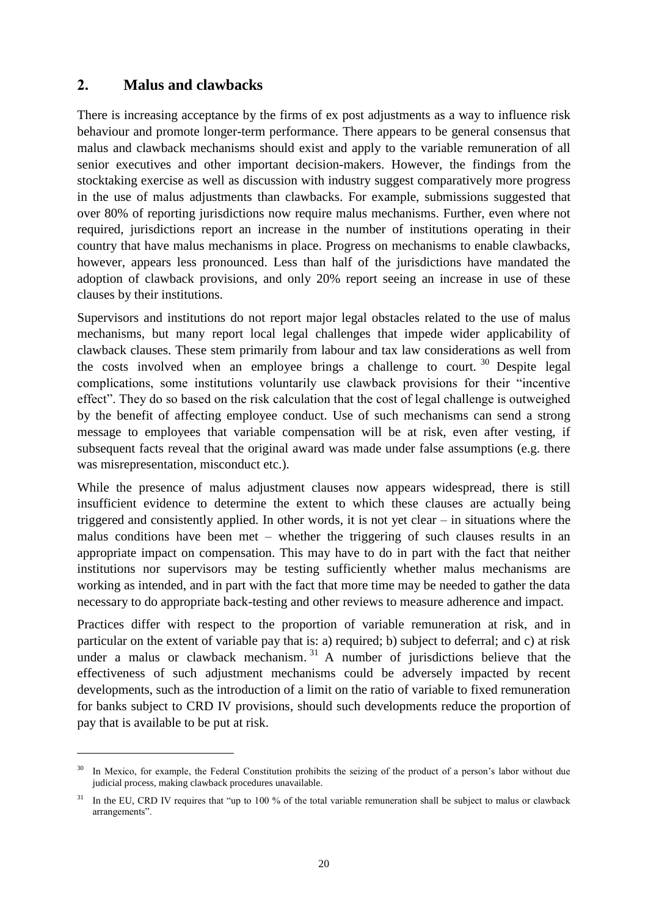### <span id="page-21-0"></span>**2. Malus and clawbacks**

 $\overline{a}$ 

There is increasing acceptance by the firms of ex post adjustments as a way to influence risk behaviour and promote longer-term performance. There appears to be general consensus that malus and clawback mechanisms should exist and apply to the variable remuneration of all senior executives and other important decision-makers. However, the findings from the stocktaking exercise as well as discussion with industry suggest comparatively more progress in the use of malus adjustments than clawbacks. For example, submissions suggested that over 80% of reporting jurisdictions now require malus mechanisms. Further, even where not required, jurisdictions report an increase in the number of institutions operating in their country that have malus mechanisms in place. Progress on mechanisms to enable clawbacks, however, appears less pronounced. Less than half of the jurisdictions have mandated the adoption of clawback provisions, and only 20% report seeing an increase in use of these clauses by their institutions.

Supervisors and institutions do not report major legal obstacles related to the use of malus mechanisms, but many report local legal challenges that impede wider applicability of clawback clauses. These stem primarily from labour and tax law considerations as well from the costs involved when an employee brings a challenge to court.  $30$  Despite legal complications, some institutions voluntarily use clawback provisions for their "incentive effect". They do so based on the risk calculation that the cost of legal challenge is outweighed by the benefit of affecting employee conduct. Use of such mechanisms can send a strong message to employees that variable compensation will be at risk, even after vesting, if subsequent facts reveal that the original award was made under false assumptions (e.g. there was misrepresentation, misconduct etc.).

While the presence of malus adjustment clauses now appears widespread, there is still insufficient evidence to determine the extent to which these clauses are actually being triggered and consistently applied. In other words, it is not yet clear – in situations where the malus conditions have been met – whether the triggering of such clauses results in an appropriate impact on compensation. This may have to do in part with the fact that neither institutions nor supervisors may be testing sufficiently whether malus mechanisms are working as intended, and in part with the fact that more time may be needed to gather the data necessary to do appropriate back-testing and other reviews to measure adherence and impact.

Practices differ with respect to the proportion of variable remuneration at risk, and in particular on the extent of variable pay that is: a) required; b) subject to deferral; and c) at risk under a malus or clawback mechanism.<sup>31</sup> A number of jurisdictions believe that the effectiveness of such adjustment mechanisms could be adversely impacted by recent developments, such as the introduction of a limit on the ratio of variable to fixed remuneration for banks subject to CRD IV provisions, should such developments reduce the proportion of pay that is available to be put at risk.

In Mexico, for example, the Federal Constitution prohibits the seizing of the product of a person's labor without due judicial process, making clawback procedures unavailable.

 $31$  In the EU, CRD IV requires that "up to 100 % of the total variable remuneration shall be subject to malus or clawback arrangements".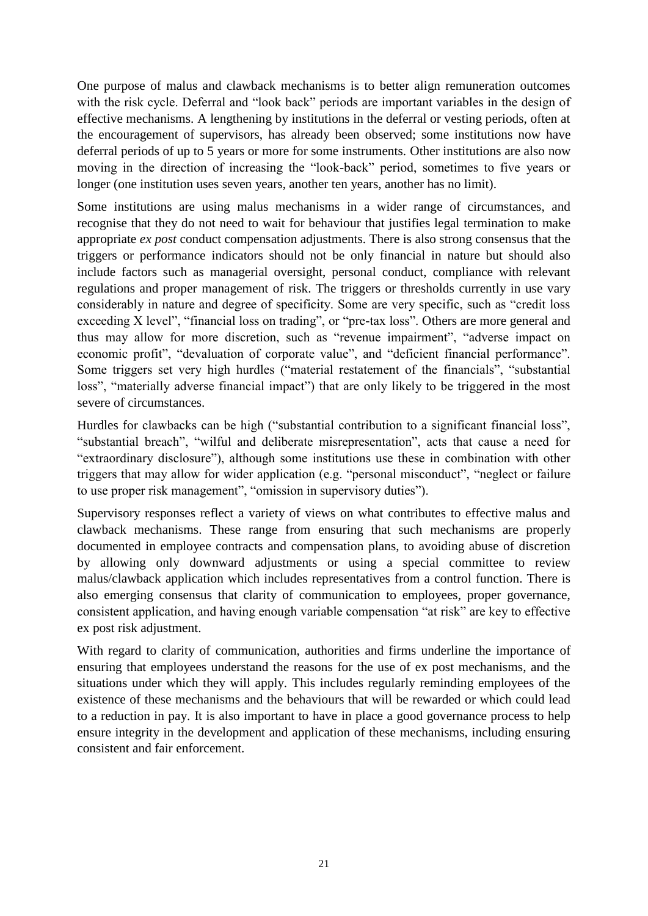One purpose of malus and clawback mechanisms is to better align remuneration outcomes with the risk cycle. Deferral and "look back" periods are important variables in the design of effective mechanisms. A lengthening by institutions in the deferral or vesting periods, often at the encouragement of supervisors, has already been observed; some institutions now have deferral periods of up to 5 years or more for some instruments. Other institutions are also now moving in the direction of increasing the "look-back" period, sometimes to five years or longer (one institution uses seven years, another ten years, another has no limit).

Some institutions are using malus mechanisms in a wider range of circumstances, and recognise that they do not need to wait for behaviour that justifies legal termination to make appropriate *ex post* conduct compensation adjustments. There is also strong consensus that the triggers or performance indicators should not be only financial in nature but should also include factors such as managerial oversight, personal conduct, compliance with relevant regulations and proper management of risk. The triggers or thresholds currently in use vary considerably in nature and degree of specificity. Some are very specific, such as "credit loss exceeding X level", "financial loss on trading", or "pre-tax loss". Others are more general and thus may allow for more discretion, such as "revenue impairment", "adverse impact on economic profit", "devaluation of corporate value", and "deficient financial performance". Some triggers set very high hurdles ("material restatement of the financials", "substantial loss", "materially adverse financial impact") that are only likely to be triggered in the most severe of circumstances.

Hurdles for clawbacks can be high ("substantial contribution to a significant financial loss", "substantial breach", "wilful and deliberate misrepresentation", acts that cause a need for "extraordinary disclosure"), although some institutions use these in combination with other triggers that may allow for wider application (e.g. "personal misconduct", "neglect or failure to use proper risk management", "omission in supervisory duties").

Supervisory responses reflect a variety of views on what contributes to effective malus and clawback mechanisms. These range from ensuring that such mechanisms are properly documented in employee contracts and compensation plans, to avoiding abuse of discretion by allowing only downward adjustments or using a special committee to review malus/clawback application which includes representatives from a control function. There is also emerging consensus that clarity of communication to employees, proper governance, consistent application, and having enough variable compensation "at risk" are key to effective ex post risk adjustment.

With regard to clarity of communication, authorities and firms underline the importance of ensuring that employees understand the reasons for the use of ex post mechanisms, and the situations under which they will apply. This includes regularly reminding employees of the existence of these mechanisms and the behaviours that will be rewarded or which could lead to a reduction in pay. It is also important to have in place a good governance process to help ensure integrity in the development and application of these mechanisms, including ensuring consistent and fair enforcement.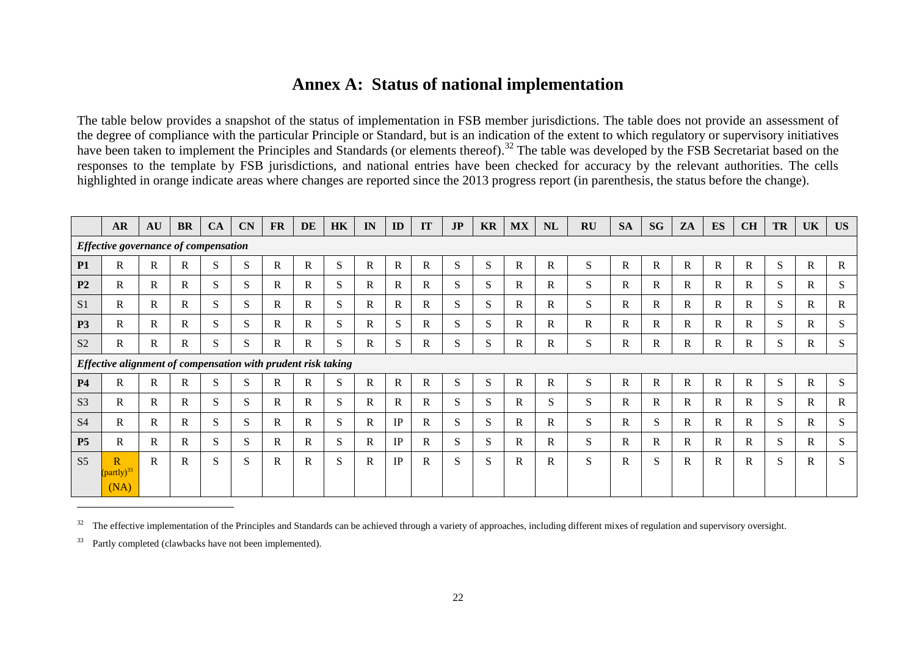### **Annex A: Status of national implementation**

The table below provides a snapshot of the status of implementation in FSB member jurisdictions. The table does not provide an assessment of the degree of compliance with the particular Principle or Standard, but is an indication of the extent to which regulatory or supervisory initiatives have been taken to implement the Principles and Standards (or elements thereof).<sup>32</sup> The table was developed by the FSB Secretariat based on the responses to the template by FSB jurisdictions, and national entries have been checked for accuracy by the relevant authorities. The cells highlighted in orange indicate areas where changes are reported since the 2013 progress report (in parenthesis, the status before the change).

<span id="page-23-0"></span>

|                | <b>AR</b>                                                    | AU | <b>BR</b>    | CA | <b>CN</b>    | <b>FR</b>    | DE           | HK           | IN           | ID           | IT           | JP | <b>KR</b>    | MX           | <b>NL</b>   | <b>RU</b>    | <b>SA</b>    | <b>SG</b>    | ZA           | ES           | <b>CH</b>    | <b>TR</b> | <b>UK</b>    | <b>US</b>   |
|----------------|--------------------------------------------------------------|----|--------------|----|--------------|--------------|--------------|--------------|--------------|--------------|--------------|----|--------------|--------------|-------------|--------------|--------------|--------------|--------------|--------------|--------------|-----------|--------------|-------------|
|                | Effective governance of compensation                         |    |              |    |              |              |              |              |              |              |              |    |              |              |             |              |              |              |              |              |              |           |              |             |
| <b>P1</b>      | $\mathbf R$                                                  | R  | R            | S  | S            | $\mathbb{R}$ | $\mathbf R$  | S            | $\mathbf{R}$ | $\mathbf R$  | $\mathbf R$  | S. | S            | $\mathbb{R}$ | $\mathbf R$ | S.           | $\mathsf{R}$ | $\mathbf R$  | $\mathbb{R}$ | $\mathbb{R}$ | $\mathbb{R}$ | S         | $\mathbb{R}$ | $\mathbf R$ |
| P <sub>2</sub> | $\mathbf R$                                                  | R  | R            | S  | S            | $\mathbf R$  | $\mathbb{R}$ | S            | R            | $\mathbf R$  | R            | S  | S            | $\mathbb{R}$ | R           | S            | R            | R            | $\mathbb{R}$ | R            | $\mathbb{R}$ | S         | R            | S           |
| S <sub>1</sub> | $\mathbf{R}$                                                 | R  | $\mathbb{R}$ | S. | S            | $\mathbf R$  | $\mathsf{R}$ | S            | $\mathbb{R}$ | $\mathbf R$  | $\mathbf R$  | S. | <sub>S</sub> | $\mathbb{R}$ | R           | S.           | $\mathbb{R}$ | $\mathbf{R}$ | R            | R            | $\mathbf R$  | S         | R            | R           |
| P <sub>3</sub> | $\mathbf R$                                                  | R  | $\mathbb{R}$ | S  | <sub>S</sub> | $\mathbf R$  | $\mathbf R$  | S            | $\mathbb{R}$ | S            | $\mathbf R$  | S. | <sub>S</sub> | $\mathbf R$  | R           | $\mathbf{R}$ | $\mathbb{R}$ | R            | $\mathbf{R}$ | $\mathbb{R}$ | $\mathbf R$  | S         | $\mathbb{R}$ | S           |
| S <sub>2</sub> | $\mathbf R$                                                  | R  | R            | S  | S            | $\mathbb{R}$ | $\mathbb{R}$ | S            | R            | ${\bf S}$    | R            | S  | S            | $\mathbb{R}$ | R           | S            | R            | $\mathbf R$  | $\mathbf R$  | R            | $\mathbb{R}$ | S         | R            | S           |
|                | Effective alignment of compensation with prudent risk taking |    |              |    |              |              |              |              |              |              |              |    |              |              |             |              |              |              |              |              |              |           |              |             |
| <b>P4</b>      | $\mathbf R$                                                  | R  | $\mathbb{R}$ | S  | S            | $\mathbf R$  | $\mathbf R$  | S            | $\mathbb{R}$ | $\mathbb{R}$ | $\mathbf R$  | S. | S            | $\mathbf{R}$ | R           | S.           | $\mathbf R$  | R            | $\mathsf{R}$ | $\mathbb{R}$ | $\mathbf R$  | S         | $\mathbb{R}$ | S           |
| S <sub>3</sub> | $\mathbf R$                                                  | R  | R            | S. | <sub>S</sub> | $\mathbf R$  | $\mathbf R$  | S            | $\mathbb{R}$ | $\mathbb{R}$ | $\mathbb{R}$ | S. | <sub>S</sub> | $\mathbb{R}$ | S           | S.           | $\mathbb{R}$ | R            | $\mathbb{R}$ | $\mathbb{R}$ | $\mathbf R$  | S         | R            | R           |
| <b>S4</b>      | R                                                            | R. | R.           | S. | <sub>S</sub> | $\mathbf R$  | R            | <sub>S</sub> | R            | IP           | R            | S. | S.           | R            | R           | S.           | R.           | S.           | $\mathbf{R}$ | R            | R            | S         | R            | S           |
| <b>P5</b>      | $\mathbf R$                                                  | R  | R            | S  | S            | $\mathbf R$  | $\mathbf R$  | S            | $\mathbb{R}$ | IP           | R            | S  | <sub>S</sub> | $\mathbb{R}$ | R           | S            | $\mathbb{R}$ | $\mathbf{R}$ | $\mathbb{R}$ | R            | R            | S         | R            | S           |
| S <sub>5</sub> | $\overline{\text{R}}$                                        | R  | R            | S  | S            | R            | $\mathbf R$  | S            | $\mathbf R$  | IP           | $\mathbf R$  | S  | S            | $\mathbb{R}$ | R           | S            | $\mathbb{R}$ | S            | $\mathbb{R}$ | R            | $\mathbb{R}$ | S         | $\mathbb{R}$ | S           |
|                | $(party)^{33}$<br>(NA)                                       |    |              |    |              |              |              |              |              |              |              |    |              |              |             |              |              |              |              |              |              |           |              |             |

<sup>32</sup> The effective implementation of the Principles and Standards can be achieved through a variety of approaches, including different mixes of regulation and supervisory oversight.

 $33$  Partly completed (clawbacks have not been implemented).

1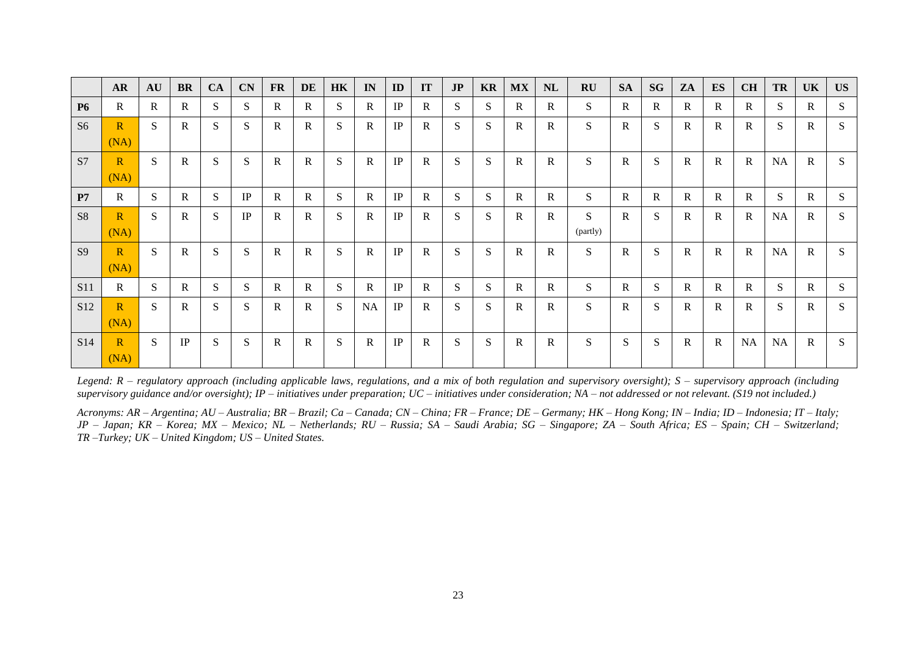|                 | <b>AR</b>    | AU          | <b>BR</b>   | CA | CN | <b>FR</b>    | DE           | HK | IN           | ID       | IT           | JP | <b>KR</b>    | MX           | NL           | RU       | <b>SA</b>    | <b>SG</b>    | ZA           | <b>ES</b>    | CH           | TR        | <b>UK</b>    | <b>US</b> |
|-----------------|--------------|-------------|-------------|----|----|--------------|--------------|----|--------------|----------|--------------|----|--------------|--------------|--------------|----------|--------------|--------------|--------------|--------------|--------------|-----------|--------------|-----------|
| <b>P6</b>       | $\mathbb{R}$ | $\mathbf R$ | R.          | S. | S  | R.           | $\mathbf{R}$ | S. | $\mathbf R$  | IP       | $\mathbf{R}$ | S. | S.           | R            | R.           | S        | R            | $\mathbb{R}$ | $\mathbf R$  | $\mathbf{R}$ | $\mathbf{R}$ | S.        | $\mathbb{R}$ | S         |
| S <sub>6</sub>  | $\mathbb{R}$ | S           | $\mathbf R$ | S  | S  | $\mathbb{R}$ | $\mathbf{R}$ | S  | $\mathbf R$  | IP       | $\mathbf{R}$ | S  | S            | $\mathbf{R}$ | $\mathbf R$  | S        | $\mathbf{R}$ | S            | $\mathbf R$  | $\mathbf R$  | $\mathbf R$  | S.        | $\mathbf R$  | S         |
|                 | (NA)         |             |             |    |    |              |              |    |              |          |              |    |              |              |              |          |              |              |              |              |              |           |              |           |
| S7              | $\mathbb{R}$ | S           | $\mathbf R$ | S  | S  | R.           | $\mathbf R$  | S. | $\mathbf R$  | IP       | $\mathbf{R}$ | S  | S            | R            | $\mathbf R$  | S        | R            | S            | $\mathbf R$  | $\mathbf{R}$ | $\mathbf R$  | NA        | $\mathbb{R}$ | S.        |
|                 | (NA)         |             |             |    |    |              |              |    |              |          |              |    |              |              |              |          |              |              |              |              |              |           |              |           |
| P7              | $\mathbb{R}$ | S           | R           | S. | IP | R.           | R            | S  | $\mathbf R$  | IP       | R            | S  | S            | R            | R            | S        | R            | R            | $\mathbb{R}$ | R            | $\mathbf{R}$ | S         | $\mathbb{R}$ | S         |
| <b>S8</b>       | $\mathbb{R}$ | S           | $\mathbf R$ | S. | IP | R.           | $\mathbf{R}$ | S  | $\mathbf R$  | IP       | $\mathbf{R}$ | S  | S            | R            | R            | S        | R            | S.           | $\mathbf R$  | $\mathbf{R}$ | $\mathbf{R}$ | <b>NA</b> | $\mathbf R$  | S         |
|                 | (NA)         |             |             |    |    |              |              |    |              |          |              |    |              |              |              | (partly) |              |              |              |              |              |           |              |           |
| <b>S9</b>       | $\mathbb{R}$ | S           | R           | S. | S  | R.           | $\mathbf{R}$ | S  | $\mathbf R$  | IP       | R            | S. | <sub>S</sub> | R            | R            | S        | R            | S.           | $\mathbb{R}$ | $\mathbf{R}$ | $\mathbf R$  | NA        | $\mathbb{R}$ | S         |
|                 | (NA)         |             |             |    |    |              |              |    |              |          |              |    |              |              |              |          |              |              |              |              |              |           |              |           |
| <b>S11</b>      | $\mathbb{R}$ | S           | $\mathbf R$ | S  | S  | R.           | $\mathbf R$  | S  | $\mathbf R$  | IP       | $\mathbf{R}$ | S  | S            | $\mathbf R$  | $\mathbf{R}$ | S        | $\mathbf{R}$ | S            | $\mathbf R$  | $\mathbf R$  | $\mathbf R$  | S         | $\mathbf R$  | S         |
| S <sub>12</sub> | $\mathbb{R}$ | S           | R           | S. | S  | R.           | $\mathbf{R}$ | S  | NA           | $\rm IP$ | R            | S. | S.           | R            | R.           | S        | R            | S.           | $\mathbf{R}$ | $\mathbf{R}$ | $\mathbf{R}$ | S.        | $\mathbb{R}$ | S         |
|                 | (NA)         |             |             |    |    |              |              |    |              |          |              |    |              |              |              |          |              |              |              |              |              |           |              |           |
| S <sub>14</sub> | $\mathbb{R}$ | S           | IP          | S. | S  | R            | $\mathbf{R}$ | S  | $\mathbf{R}$ | IP       | R            | S  | S            | R            | R            | S        | S            | S            | $\mathbf R$  | $\mathbf R$  | NA           | NA        | $\mathbf R$  | S         |
|                 | (NA)         |             |             |    |    |              |              |    |              |          |              |    |              |              |              |          |              |              |              |              |              |           |              |           |

*Legend: R – regulatory approach (including applicable laws, regulations, and a mix of both regulation and supervisory oversight); S – supervisory approach (including supervisory guidance and/or oversight); IP – initiatives under preparation; UC – initiatives under consideration; NA – not addressed or not relevant. (S19 not included.)*

Acronyms: AR - Argentina; AU - Australia; BR - Brazil; Ca - Canada; CN - China; FR - France; DE - Germany; HK - Hong Kong; IN - India; ID - Indonesia; IT - Italy;  $JP - Japan$ ;  $KR - Korea$ ;  $MX - Mexico$ ;  $NL - Netherlands$ ;  $RU - Rusia$ ;  $SA - Saudi Arabia$ ;  $SG - Singapore$ ;  $ZA - South Africa$ ;  $ES - Spain$ ;  $CH - Switzerland$ ; *TR –Turkey; UK – United Kingdom; US – United States.*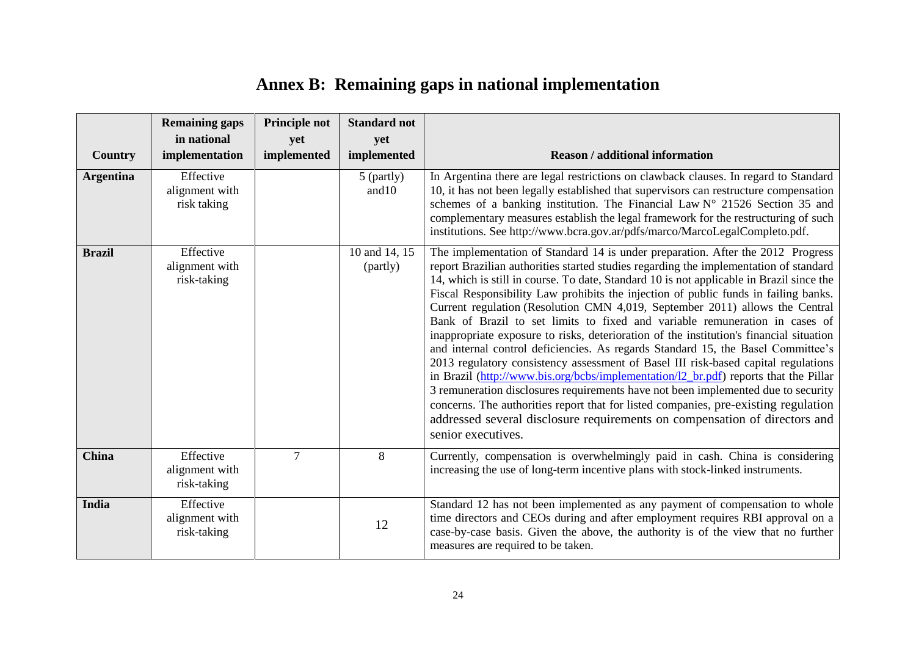<span id="page-25-0"></span>

|                  | <b>Remaining gaps</b><br>in national       | Principle not<br>yet | <b>Standard not</b><br>yet |                                                                                                                                                                                                                                                                                                                                                                                                                                                                                                                                                                                                                                                                                                                                                                                                                                                                                                                                                                                                                                                                                                                                                                         |
|------------------|--------------------------------------------|----------------------|----------------------------|-------------------------------------------------------------------------------------------------------------------------------------------------------------------------------------------------------------------------------------------------------------------------------------------------------------------------------------------------------------------------------------------------------------------------------------------------------------------------------------------------------------------------------------------------------------------------------------------------------------------------------------------------------------------------------------------------------------------------------------------------------------------------------------------------------------------------------------------------------------------------------------------------------------------------------------------------------------------------------------------------------------------------------------------------------------------------------------------------------------------------------------------------------------------------|
| Country          | implementation                             | implemented          | implemented                | <b>Reason / additional information</b>                                                                                                                                                                                                                                                                                                                                                                                                                                                                                                                                                                                                                                                                                                                                                                                                                                                                                                                                                                                                                                                                                                                                  |
| <b>Argentina</b> | Effective<br>alignment with<br>risk taking |                      | 5 (partly)<br>and10        | In Argentina there are legal restrictions on clawback clauses. In regard to Standard<br>10, it has not been legally established that supervisors can restructure compensation<br>schemes of a banking institution. The Financial Law N° 21526 Section 35 and<br>complementary measures establish the legal framework for the restructuring of such<br>institutions. See http://www.bcra.gov.ar/pdfs/marco/MarcoLegalCompleto.pdf.                                                                                                                                                                                                                                                                                                                                                                                                                                                                                                                                                                                                                                                                                                                                       |
| <b>Brazil</b>    | Effective<br>alignment with<br>risk-taking |                      | 10 and 14, 15<br>(partly)  | The implementation of Standard 14 is under preparation. After the 2012 Progress<br>report Brazilian authorities started studies regarding the implementation of standard<br>14, which is still in course. To date, Standard 10 is not applicable in Brazil since the<br>Fiscal Responsibility Law prohibits the injection of public funds in failing banks.<br>Current regulation (Resolution CMN 4,019, September 2011) allows the Central<br>Bank of Brazil to set limits to fixed and variable remuneration in cases of<br>inappropriate exposure to risks, deterioration of the institution's financial situation<br>and internal control deficiencies. As regards Standard 15, the Basel Committee's<br>2013 regulatory consistency assessment of Basel III risk-based capital regulations<br>in Brazil (http://www.bis.org/bcbs/implementation/12_br.pdf) reports that the Pillar<br>3 remuneration disclosures requirements have not been implemented due to security<br>concerns. The authorities report that for listed companies, pre-existing regulation<br>addressed several disclosure requirements on compensation of directors and<br>senior executives. |
| <b>China</b>     | Effective<br>alignment with<br>risk-taking | $\tau$               | 8                          | Currently, compensation is overwhelmingly paid in cash. China is considering<br>increasing the use of long-term incentive plans with stock-linked instruments.                                                                                                                                                                                                                                                                                                                                                                                                                                                                                                                                                                                                                                                                                                                                                                                                                                                                                                                                                                                                          |
| India            | Effective<br>alignment with<br>risk-taking |                      | 12                         | Standard 12 has not been implemented as any payment of compensation to whole<br>time directors and CEOs during and after employment requires RBI approval on a<br>case-by-case basis. Given the above, the authority is of the view that no further<br>measures are required to be taken.                                                                                                                                                                                                                                                                                                                                                                                                                                                                                                                                                                                                                                                                                                                                                                                                                                                                               |

# **Annex B: Remaining gaps in national implementation**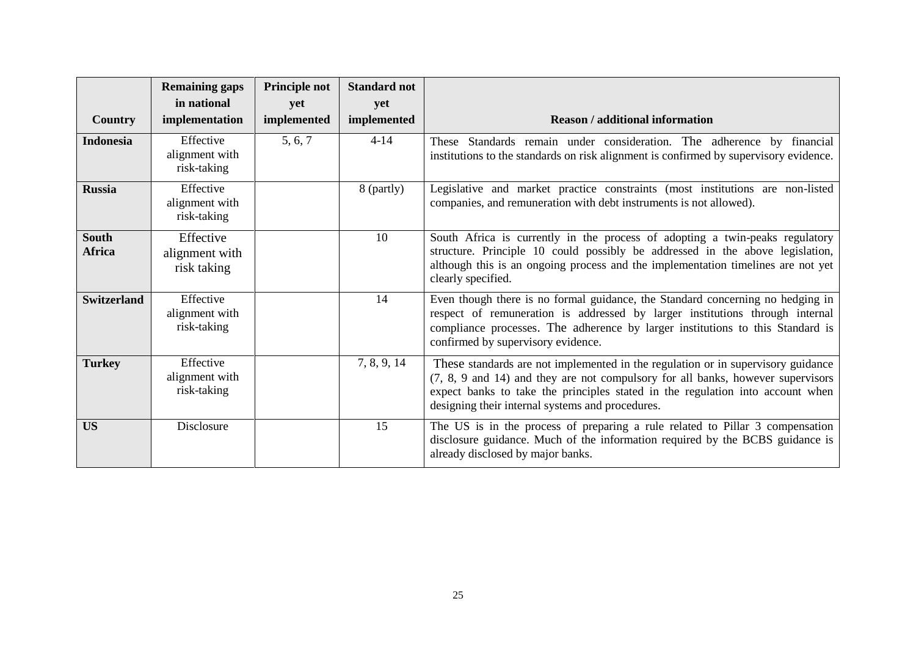|                               | <b>Remaining gaps</b><br>in national       | <b>Principle not</b><br>yet | <b>Standard not</b><br>yet |                                                                                                                                                                                                                                                                                                           |
|-------------------------------|--------------------------------------------|-----------------------------|----------------------------|-----------------------------------------------------------------------------------------------------------------------------------------------------------------------------------------------------------------------------------------------------------------------------------------------------------|
| Country                       | implementation                             | implemented                 | implemented                | <b>Reason / additional information</b>                                                                                                                                                                                                                                                                    |
| <b>Indonesia</b>              | Effective<br>alignment with<br>risk-taking | 5, 6, 7                     | $4 - 14$                   | These Standards remain under consideration. The adherence by financial<br>institutions to the standards on risk alignment is confirmed by supervisory evidence.                                                                                                                                           |
| <b>Russia</b>                 | Effective<br>alignment with<br>risk-taking |                             | 8 (partly)                 | Legislative and market practice constraints (most institutions are non-listed<br>companies, and remuneration with debt instruments is not allowed).                                                                                                                                                       |
| <b>South</b><br><b>Africa</b> | Effective<br>alignment with<br>risk taking |                             | 10                         | South Africa is currently in the process of adopting a twin-peaks regulatory<br>structure. Principle 10 could possibly be addressed in the above legislation,<br>although this is an ongoing process and the implementation timelines are not yet<br>clearly specified.                                   |
| <b>Switzerland</b>            | Effective<br>alignment with<br>risk-taking |                             | 14                         | Even though there is no formal guidance, the Standard concerning no hedging in<br>respect of remuneration is addressed by larger institutions through internal<br>compliance processes. The adherence by larger institutions to this Standard is<br>confirmed by supervisory evidence.                    |
| <b>Turkey</b>                 | Effective<br>alignment with<br>risk-taking |                             | 7, 8, 9, 14                | These standards are not implemented in the regulation or in supervisory guidance<br>(7, 8, 9 and 14) and they are not compulsory for all banks, however supervisors<br>expect banks to take the principles stated in the regulation into account when<br>designing their internal systems and procedures. |
| <b>US</b>                     | Disclosure                                 |                             | 15                         | The US is in the process of preparing a rule related to Pillar 3 compensation<br>disclosure guidance. Much of the information required by the BCBS guidance is<br>already disclosed by major banks.                                                                                                       |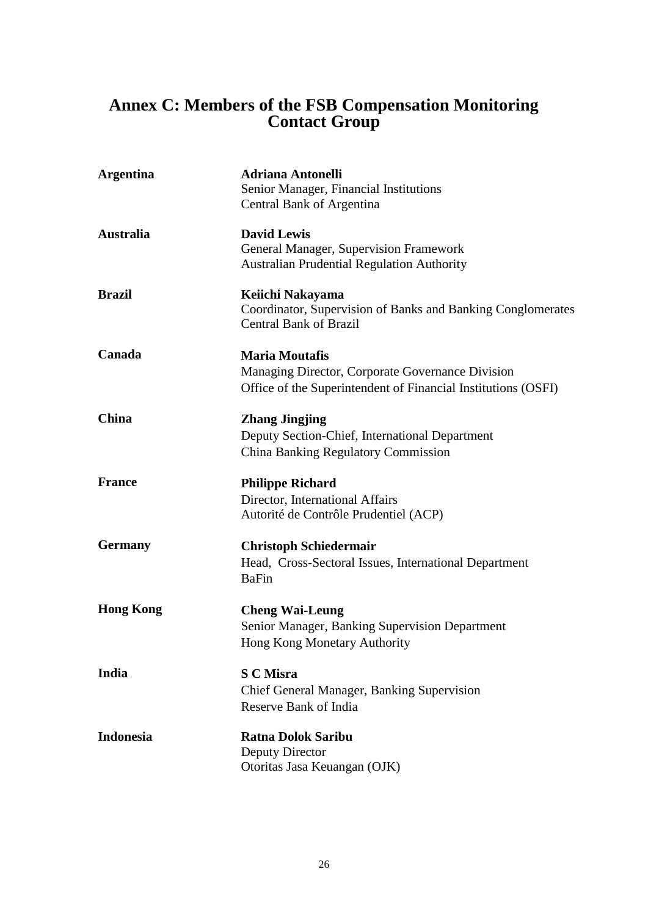## <span id="page-27-0"></span>**Annex C: Members of the FSB Compensation Monitoring Contact Group**

| <b>Argentina</b> | <b>Adriana Antonelli</b><br>Senior Manager, Financial Institutions<br>Central Bank of Argentina                                            |
|------------------|--------------------------------------------------------------------------------------------------------------------------------------------|
| <b>Australia</b> | <b>David Lewis</b><br>General Manager, Supervision Framework<br><b>Australian Prudential Regulation Authority</b>                          |
| <b>Brazil</b>    | Keiichi Nakayama<br>Coordinator, Supervision of Banks and Banking Conglomerates<br><b>Central Bank of Brazil</b>                           |
| Canada           | <b>Maria Moutafis</b><br>Managing Director, Corporate Governance Division<br>Office of the Superintendent of Financial Institutions (OSFI) |
| <b>China</b>     | <b>Zhang Jingjing</b><br>Deputy Section-Chief, International Department<br><b>China Banking Regulatory Commission</b>                      |
| <b>France</b>    | <b>Philippe Richard</b><br>Director, International Affairs<br>Autorité de Contrôle Prudentiel (ACP)                                        |
| <b>Germany</b>   | <b>Christoph Schiedermair</b><br>Head, Cross-Sectoral Issues, International Department<br><b>BaFin</b>                                     |
| <b>Hong Kong</b> | <b>Cheng Wai-Leung</b><br>Senior Manager, Banking Supervision Department<br>Hong Kong Monetary Authority                                   |
| India            | <b>S C Misra</b><br>Chief General Manager, Banking Supervision<br>Reserve Bank of India                                                    |
| <b>Indonesia</b> | <b>Ratna Dolok Saribu</b><br>Deputy Director<br>Otoritas Jasa Keuangan (OJK)                                                               |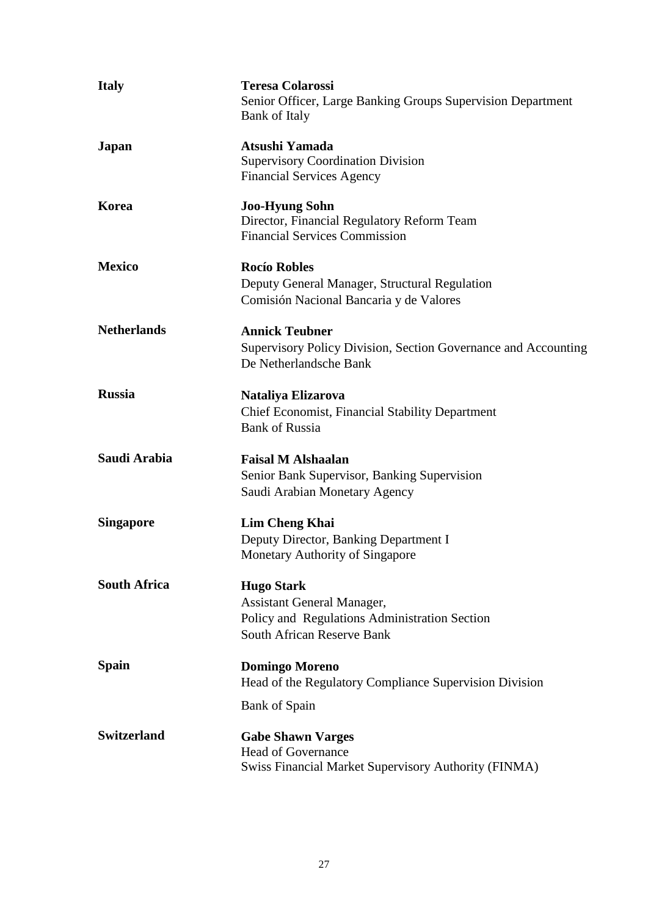| <b>Italy</b>        | <b>Teresa Colarossi</b><br>Senior Officer, Large Banking Groups Supervision Department<br><b>Bank of Italy</b>                               |
|---------------------|----------------------------------------------------------------------------------------------------------------------------------------------|
| <b>Japan</b>        | Atsushi Yamada<br><b>Supervisory Coordination Division</b><br><b>Financial Services Agency</b>                                               |
| Korea               | <b>Joo-Hyung Sohn</b><br>Director, Financial Regulatory Reform Team<br><b>Financial Services Commission</b>                                  |
| <b>Mexico</b>       | <b>Rocío Robles</b><br>Deputy General Manager, Structural Regulation<br>Comisión Nacional Bancaria y de Valores                              |
| <b>Netherlands</b>  | <b>Annick Teubner</b><br>Supervisory Policy Division, Section Governance and Accounting<br>De Netherlandsche Bank                            |
| <b>Russia</b>       | Nataliya Elizarova<br><b>Chief Economist, Financial Stability Department</b><br><b>Bank of Russia</b>                                        |
| Saudi Arabia        | <b>Faisal M Alshaalan</b><br>Senior Bank Supervisor, Banking Supervision<br>Saudi Arabian Monetary Agency                                    |
| <b>Singapore</b>    | <b>Lim Cheng Khai</b><br>Deputy Director, Banking Department I<br>Monetary Authority of Singapore                                            |
| <b>South Africa</b> | <b>Hugo Stark</b><br><b>Assistant General Manager,</b><br>Policy and Regulations Administration Section<br><b>South African Reserve Bank</b> |
| <b>Spain</b>        | <b>Domingo Moreno</b><br>Head of the Regulatory Compliance Supervision Division<br><b>Bank of Spain</b>                                      |
| <b>Switzerland</b>  | <b>Gabe Shawn Varges</b><br><b>Head of Governance</b><br>Swiss Financial Market Supervisory Authority (FINMA)                                |